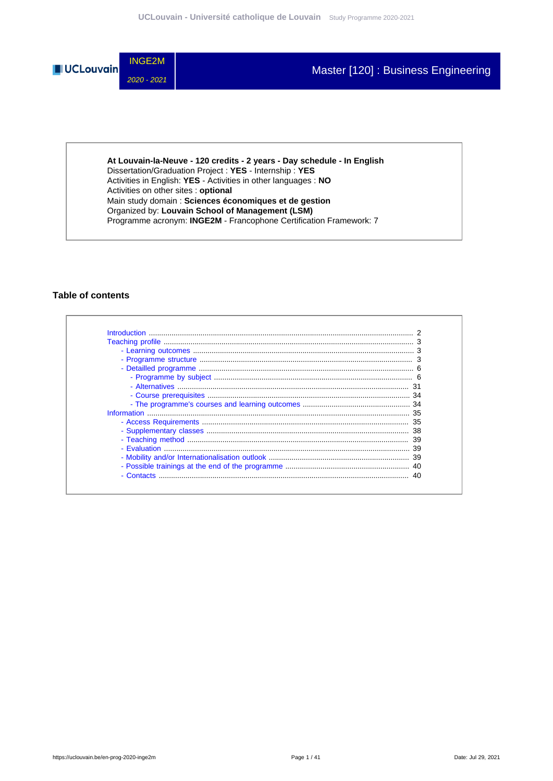

**At Louvain-la-Neuve - 120 credits - 2 years - Day schedule - In English** Dissertation/Graduation Project : **YES** - Internship : **YES** Activities in English: **YES** - Activities in other languages : **NO** Activities on other sites : **optional** Main study domain : **Sciences économiques et de gestion** Organized by: **Louvain School of Management (LSM)** Programme acronym: **INGE2M** - Francophone Certification Framework: 7

### **Table of contents**

| 39 |
|----|
|    |
|    |
|    |
| 40 |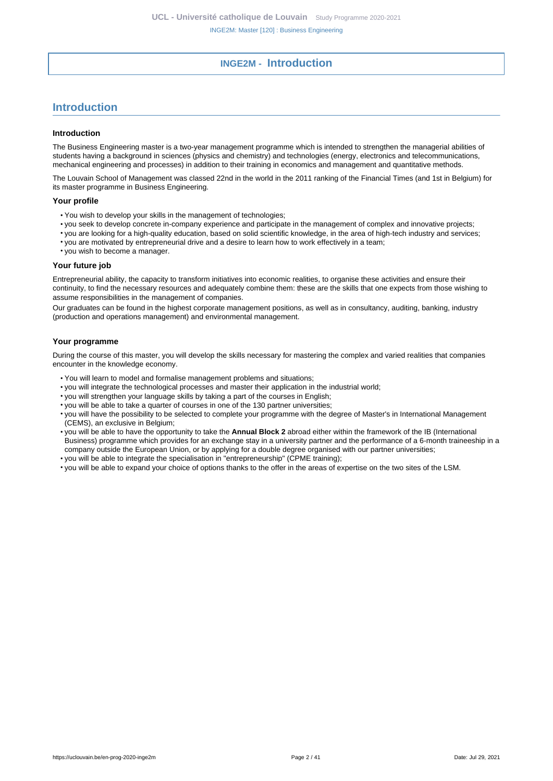# **INGE2M - Introduction**

# <span id="page-1-0"></span>**Introduction**

#### **Introduction**

The Business Engineering master is a two-year management programme which is intended to strengthen the managerial abilities of students having a background in sciences (physics and chemistry) and technologies (energy, electronics and telecommunications, mechanical engineering and processes) in addition to their training in economics and management and quantitative methods.

The Louvain School of Management was classed 22nd in the world in the 2011 ranking of the Financial Times (and 1st in Belgium) for its master programme in Business Engineering.

#### **Your profile**

- You wish to develop your skills in the management of technologies;
- you seek to develop concrete in-company experience and participate in the management of complex and innovative projects;
- you are looking for a high-quality education, based on solid scientific knowledge, in the area of high-tech industry and services;
- you are motivated by entrepreneurial drive and a desire to learn how to work effectively in a team;
- you wish to become a manager.

#### **Your future job**

Entrepreneurial ability, the capacity to transform initiatives into economic realities, to organise these activities and ensure their continuity, to find the necessary resources and adequately combine them: these are the skills that one expects from those wishing to assume responsibilities in the management of companies.

Our araduates can be found in the highest corporate management positions, as well as in consultancy, auditing, banking, industry (production and operations management) and environmental management.

#### **Your programme**

During the course of this master, you will develop the skills necessary for mastering the complex and varied realities that companies encounter in the knowledge economy.

- You will learn to model and formalise management problems and situations;
- you will integrate the technological processes and master their application in the industrial world;
- you will strengthen your language skills by taking a part of the courses in English;
- you will be able to take a quarter of courses in one of the 130 partner universities;
- you will have the possibility to be selected to complete your programme with the degree of Master's in International Management (CEMS), an exclusive in Belgium;
- you will be able to have the opportunity to take the **Annual Block 2** abroad either within the framework of the IB (International Business) programme which provides for an exchange stay in a university partner and the performance of a 6-month traineeship in a company outside the European Union, or by applying for a double degree organised with our partner universities;
- you will be able to integrate the specialisation in "entrepreneurship" (CPME training);
- you will be able to expand your choice of options thanks to the offer in the areas of expertise on the two sites of the LSM.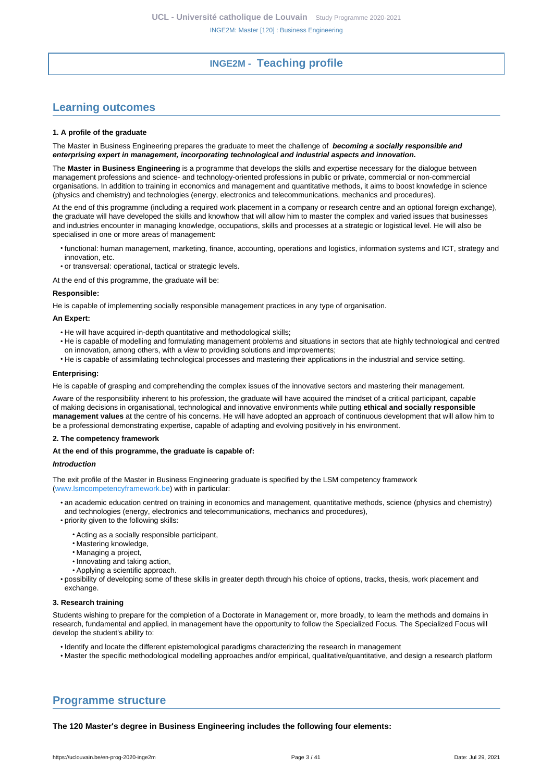# **INGE2M - Teaching profile**

# <span id="page-2-1"></span><span id="page-2-0"></span>**Learning outcomes**

#### **1. A profile of the graduate**

The Master in Business Engineering prepares the graduate to meet the challenge of **becoming a socially responsible and enterprising expert in management, incorporating technological and industrial aspects and innovation.**

The **Master in Business Engineering** is a programme that develops the skills and expertise necessary for the dialogue between management professions and science- and technology-oriented professions in public or private, commercial or non-commercial organisations. In addition to training in economics and management and quantitative methods, it aims to boost knowledge in science (physics and chemistry) and technologies (energy, electronics and telecommunications, mechanics and procedures).

At the end of this programme (including a required work placement in a company or research centre and an optional foreign exchange), the graduate will have developed the skills and knowhow that will allow him to master the complex and varied issues that businesses and industries encounter in managing knowledge, occupations, skills and processes at a strategic or logistical level. He will also be specialised in one or more areas of management:

- functional: human management, marketing, finance, accounting, operations and logistics, information systems and ICT, strategy and innovation, etc.
- or transversal: operational, tactical or strategic levels.

At the end of this programme, the graduate will be:

#### **Responsible:**

He is capable of implementing socially responsible management practices in any type of organisation.

#### **An Expert:**

- He will have acquired in-depth quantitative and methodological skills;
- He is capable of modelling and formulating management problems and situations in sectors that ate highly technological and centred on innovation, among others, with a view to providing solutions and improvements;
- He is capable of assimilating technological processes and mastering their applications in the industrial and service setting.

#### **Enterprising:**

He is capable of grasping and comprehending the complex issues of the innovative sectors and mastering their management.

Aware of the responsibility inherent to his profession, the graduate will have acquired the mindset of a critical participant, capable of making decisions in organisational, technological and innovative environments while putting **ethical and socially responsible management values** at the centre of his concerns. He will have adopted an approach of continuous development that will allow him to be a professional demonstrating expertise, capable of adapting and evolving positively in his environment.

#### **2. The competency framework**

#### **At the end of this programme, the graduate is capable of:**

#### **Introduction**

The exit profile of the Master in Business Engineering graduate is specified by the LSM competency framework [\(www.lsmcompetencyframework.be\)](http://www.lsmcompetencyframework.be) with in particular:

- an academic education centred on training in economics and management, quantitative methods, science (physics and chemistry) and technologies (energy, electronics and telecommunications, mechanics and procedures), • priority given to the following skills:
	- Acting as a socially responsible participant,
	- Mastering knowledge,
	- Managing a project,
	- Innovating and taking action,
	- Applying a scientific approach.
- possibility of developing some of these skills in greater depth through his choice of options, tracks, thesis, work placement and exchange.

#### **3. Research training**

Students wishing to prepare for the completion of a Doctorate in Management or, more broadly, to learn the methods and domains in research, fundamental and applied, in management have the opportunity to follow the Specialized Focus. The Specialized Focus will develop the student's ability to:

- Identify and locate the different epistemological paradigms characterizing the research in management
- Master the specific methodological modelling approaches and/or empirical, qualitative/quantitative, and design a research platform

# <span id="page-2-2"></span>**Programme structure**

**The 120 Master's degree in Business Engineering includes the following four elements:**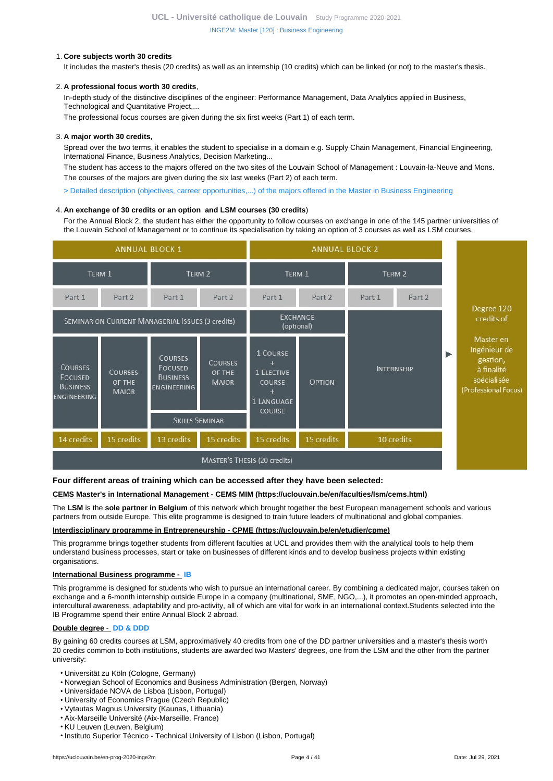#### 1. **Core subjects worth 30 credits**

It includes the master's thesis (20 credits) as well as an internship (10 credits) which can be linked (or not) to the master's thesis.

#### 2. **A professional focus worth 30 credits**,

In-depth study of the distinctive disciplines of the engineer: Performance Management, Data Analytics applied in Business, Technological and Quantitative Project,...

The professional focus courses are given during the six first weeks (Part 1) of each term.

#### 3. **A major worth 30 credits,**

Spread over the two terms, it enables the student to specialise in a domain e.g. Supply Chain Management, Financial Engineering, International Finance, Business Analytics, Decision Marketing...

The student has access to the majors offered on the two sites of the Louvain School of Management : Louvain-la-Neuve and Mons. The courses of the majors are given during the six last weeks (Part 2) of each term.

[> Detailed description \(objectives, carreer opportunities,...\) of the majors offered in the Master in Business Engineering](https://alfresco.uclouvain.be/alfresco/service/guest/streamDownload/workspace/SpacesStore/d4269cae-c9ab-4abe-8954-089e2d4c6b5a/Portfolio Majors Business Engineering_INGE_as from 2019-20.pdf?guest=true)

#### 4. **An exchange of 30 credits or an option and LSM courses (30 credits**)

For the Annual Block 2, the student has either the opportunity to follow courses on exchange in one of the 145 partner universities of the Louvain School of Management or to continue its specialisation by taking an option of 3 courses as well as LSM courses.



#### **Four different areas of training which can be accessed after they have been selected:**

#### **CEMS Master's in International Management - CEMS MIM (https://uclouvain.be/en/faculties/lsm/cems.html)**

The **LSM** is the **sole partner in Belgium** of this network which brought together the best European management schools and various partners from outside Europe. This elite programme is designed to train future leaders of multinational and global companies.

#### **Interdisciplinary programme in Entrepreneurship - CPME (https://uclouvain.be/en/etudier/cpme)**

This programme brings together students from different faculties at UCL and provides them with the analytical tools to help them understand business processes, start or take on businesses of different kinds and to develop business projects within existing organisations.

#### **International Business programme - [IB](https://uclouvain.be/en/faculties/lsm/ib.html)**

This programme is designed for students who wish to pursue an international career. By combining a dedicated major, courses taken on exchange and a 6-month internship outside Europe in a company (multinational, SME, NGO,...), it promotes an open-minded approach, intercultural awareness, adaptability and pro-activity, all of which are vital for work in an international context.Students selected into the IB Programme spend their entire Annual Block 2 abroad.

#### **Double degree** - **[DD & DDD](https://uclouvain.be/en/faculties/lsm/double-degree.html)**

By gaining 60 credits courses at LSM, approximatively 40 credits from one of the DD partner universities and a master's thesis worth 20 credits common to both institutions, students are awarded two Masters' degrees, one from the LSM and the other from the partner university:

- Universität zu Köln (Cologne, Germany)
- Norwegian School of Economics and Business Administration (Bergen, Norway)
- Universidade NOVA de Lisboa (Lisbon, Portugal)
- University of Economics Prague (Czech Republic)
- Vytautas Magnus University (Kaunas, Lithuania)
- Aix-Marseille Université (Aix-Marseille, France)
- KU Leuven (Leuven, Belgium)
- Instituto Superior Técnico Technical University of Lisbon (Lisbon, Portugal)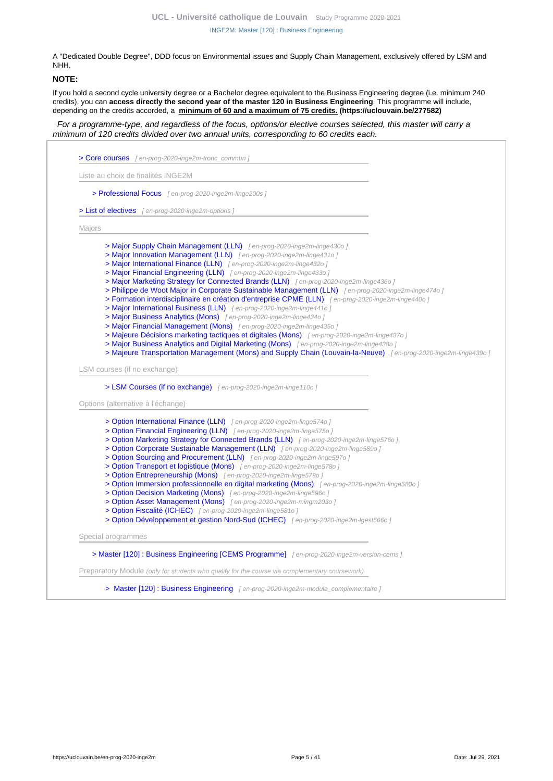A "Dedicated Double Degree", DDD focus on Environmental issues and Supply Chain Management, exclusively offered by LSM and NHH.

### **NOTE:**

If you hold a second cycle university degree or a Bachelor degree equivalent to the Business Engineering degree (i.e. minimum 240 credits), you can **access directly the second year of the master 120 in Business Engineering**. This programme will include, depending on the credits accorded, a **minimum of 60 and a maximum of 75 credits. (https://uclouvain.be/277582)**

For a programme-type, and regardless of the focus, options/or elective courses selected, this master will carry a minimum of 120 credits divided over two annual units, corresponding to 60 credits each.

|        | Liste au choix de finalités INGE2M                                                                                                                                                                                                                                                                                                                                                                                                                                                                                                                                                                                                                                                                                                                                                                                                                                                                                                                                                                                                                                                                                              |
|--------|---------------------------------------------------------------------------------------------------------------------------------------------------------------------------------------------------------------------------------------------------------------------------------------------------------------------------------------------------------------------------------------------------------------------------------------------------------------------------------------------------------------------------------------------------------------------------------------------------------------------------------------------------------------------------------------------------------------------------------------------------------------------------------------------------------------------------------------------------------------------------------------------------------------------------------------------------------------------------------------------------------------------------------------------------------------------------------------------------------------------------------|
|        | > Professional Focus [en-prog-2020-inge2m-linge200s]                                                                                                                                                                                                                                                                                                                                                                                                                                                                                                                                                                                                                                                                                                                                                                                                                                                                                                                                                                                                                                                                            |
|        | > List of electives [en-prog-2020-inge2m-options]                                                                                                                                                                                                                                                                                                                                                                                                                                                                                                                                                                                                                                                                                                                                                                                                                                                                                                                                                                                                                                                                               |
| Majors |                                                                                                                                                                                                                                                                                                                                                                                                                                                                                                                                                                                                                                                                                                                                                                                                                                                                                                                                                                                                                                                                                                                                 |
|        | > Major Supply Chain Management (LLN) [en-prog-2020-inge2m-linge430o]<br>> Major Innovation Management (LLN) [en-prog-2020-inge2m-linge431o]<br>> Major International Finance (LLN) [en-prog-2020-inge2m-linge432o]<br>> Major Financial Engineering (LLN) [en-prog-2020-inge2m-linge433o]<br>> Major Marketing Strategy for Connected Brands (LLN) [en-prog-2020-inge2m-linge436o]<br>> Philippe de Woot Major in Corporate Sustainable Management (LLN) [en-prog-2020-inge2m-linge4740]<br>> Formation interdisciplinaire en création d'entreprise CPME (LLN) [en-prog-2020-inge2m-linge4400]<br>> Major International Business (LLN) [en-prog-2020-inge2m-linge441o]<br>> Major Business Analytics (Mons) [en-prog-2020-inge2m-linge434o]<br>> Major Financial Management (Mons) [en-prog-2020-inge2m-linge435o]<br>> Majeure Décisions marketing tactiques et digitales (Mons) [en-prog-2020-inge2m-linge437o]<br>> Major Business Analytics and Digital Marketing (Mons) [en-prog-2020-inge2m-linge438o]<br>> Majeure Transportation Management (Mons) and Supply Chain (Louvain-la-Neuve) [en-prog-2020-inge2m-linge4390] |
|        | LSM courses (if no exchange)                                                                                                                                                                                                                                                                                                                                                                                                                                                                                                                                                                                                                                                                                                                                                                                                                                                                                                                                                                                                                                                                                                    |
|        |                                                                                                                                                                                                                                                                                                                                                                                                                                                                                                                                                                                                                                                                                                                                                                                                                                                                                                                                                                                                                                                                                                                                 |
|        | > LSM Courses (if no exchange) [en-prog-2020-inge2m-linge110o]                                                                                                                                                                                                                                                                                                                                                                                                                                                                                                                                                                                                                                                                                                                                                                                                                                                                                                                                                                                                                                                                  |
|        | Options (alternative à l'échange)                                                                                                                                                                                                                                                                                                                                                                                                                                                                                                                                                                                                                                                                                                                                                                                                                                                                                                                                                                                                                                                                                               |
|        | > Option International Finance (LLN) [en-prog-2020-inge2m-linge574o]<br>> Option Financial Engineering (LLN) [en-prog-2020-inge2m-linge575o]<br>> Option Marketing Strategy for Connected Brands (LLN) [en-prog-2020-inge2m-linge576o]<br>> Option Corporate Sustainable Management (LLN) [en-prog-2020-inge2m-linge589o]<br>> Option Sourcing and Procurement (LLN) [en-prog-2020-inge2m-linge597o]<br>> Option Transport et logistique (Mons) [en-prog-2020-inge2m-linge578o]<br>> Option Entrepreneurship (Mons) [en-prog-2020-inge2m-linge579o]<br>> Option Immersion professionnelle en digital marketing (Mons) [en-prog-2020-inge2m-linge580o]<br>> Option Decision Marketing (Mons) [en-prog-2020-inge2m-linge596o]<br>> Option Asset Management (Mons) [en-prog-2020-inge2m-mingm203o]<br>> Option Fiscalité (ICHEC) [en-prog-2020-inge2m-linge581o]<br>> Option Développement et gestion Nord-Sud (ICHEC) [en-prog-2020-inge2m-Igest566o]                                                                                                                                                                             |
|        | Special programmes                                                                                                                                                                                                                                                                                                                                                                                                                                                                                                                                                                                                                                                                                                                                                                                                                                                                                                                                                                                                                                                                                                              |
|        | > Master [120]: Business Engineering [CEMS Programme] [en-prog-2020-inge2m-version-cems]                                                                                                                                                                                                                                                                                                                                                                                                                                                                                                                                                                                                                                                                                                                                                                                                                                                                                                                                                                                                                                        |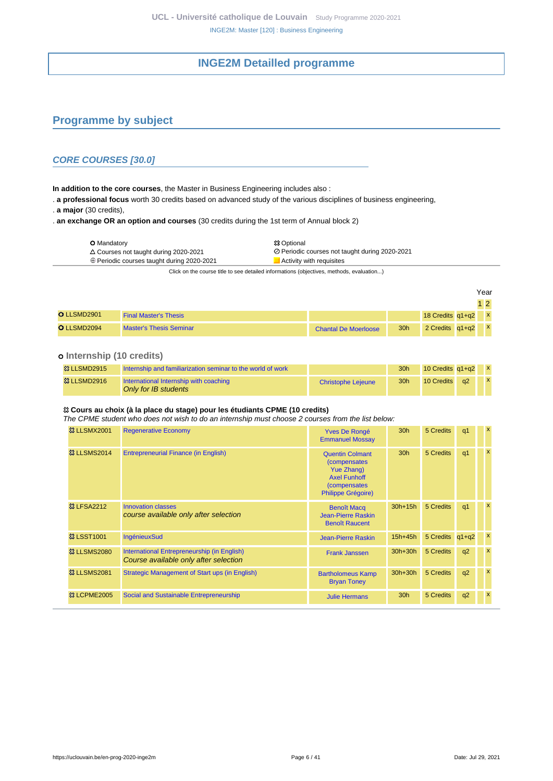# **INGE2M Detailled programme**

# <span id="page-5-1"></span><span id="page-5-0"></span>**Programme by subject**

# **CORE COURSES [30.0]**

**In addition to the core courses**, the Master in Business Engineering includes also :

- . **a professional focus** worth 30 credits based on advanced study of the various disciplines of business engineering,
- . **a major** (30 credits),
- . **an exchange OR an option and courses** (30 credits during the 1st term of Annual block 2)

| <b>O</b> Mandatory                                | <b>83 Optional</b>                             |
|---------------------------------------------------|------------------------------------------------|
| $\triangle$ Courses not taught during 2020-2021   | ⊘ Periodic courses not taught during 2020-2021 |
| $\oplus$ Periodic courses taught during 2020-2021 | Activity with requisites                       |

Click on the course title to see detailed informations (objectives, methods, evaluation...)

|             |                                |                             |                 | Year                             |  |
|-------------|--------------------------------|-----------------------------|-----------------|----------------------------------|--|
|             |                                |                             |                 |                                  |  |
| O LLSMD2901 | <b>Final Master's Thesis</b>   |                             |                 | 18 Credits q1+q2<br>$\mathbf{x}$ |  |
| O LLSMD2094 | <b>Master's Thesis Seminar</b> | <b>Chantal De Moerloose</b> | 30 <sub>h</sub> | 2 Credits q1+q2                  |  |

# **Internship (10 credits)**

| 83 LLSMD2915 | Internship and familiarization seminar to the world of work    |                           | 30 <sub>h</sub> | 10 Credits $q1+q2$ $x$ |  |              |
|--------------|----------------------------------------------------------------|---------------------------|-----------------|------------------------|--|--------------|
| 83 LLSMD2916 | International Internship with coaching<br>Only for IB students | <b>Christophe Lejeune</b> | 30 <sub>h</sub> | 10 Credits a2          |  | $\mathsf{x}$ |

#### **Cours au choix (à la place du stage) pour les étudiants CPME (10 credits)**

The CPME student who does not wish to do an internship must choose 2 courses from the list below:

| <b>83 LLSMX2001</b>    | <b>Regenerative Economy</b>                                                          | <b>Yves De Rongé</b><br><b>Emmanuel Mossay</b>                                                                                           | 30 <sub>h</sub> | 5 Credits | q <sub>1</sub> | x. |
|------------------------|--------------------------------------------------------------------------------------|------------------------------------------------------------------------------------------------------------------------------------------|-----------------|-----------|----------------|----|
| <b>&amp; LLSMS2014</b> | Entrepreneurial Finance (in English)                                                 | <b>Quentin Colmant</b><br><i>(compensates)</i><br><b>Yue Zhang)</b><br><b>Axel Funhoff</b><br><i>(compensates)</i><br>Philippe Grégoire) | 30 <sub>h</sub> | 5 Credits | q1             |    |
| <b>&amp; LFSA2212</b>  | <b>Innovation classes</b><br>course available only after selection                   | <b>Benoît Macq</b><br>Jean-Pierre Raskin<br><b>Benoît Raucent</b>                                                                        | $30h+15h$       | 5 Credits | q <sub>1</sub> |    |
| <b>&amp; LSST1001</b>  | <b>IngénieuxSud</b>                                                                  | Jean-Pierre Raskin                                                                                                                       | $15h+45h$       | 5 Credits | $q1+q2$        | x  |
| <b>&amp; LLSMS2080</b> | International Entrepreneurship (in English)<br>Course available only after selection | <b>Frank Janssen</b>                                                                                                                     | $30h+30h$       | 5 Credits | q2             | x  |
| <b>&amp; LLSMS2081</b> | Strategic Management of Start ups (in English)                                       | <b>Bartholomeus Kamp</b><br><b>Bryan Toney</b>                                                                                           | $30h+30h$       | 5 Credits | q2             |    |
| <b>&amp; LCPME2005</b> | Social and Sustainable Entrepreneurship                                              | <b>Julie Hermans</b>                                                                                                                     | 30 <sub>h</sub> | 5 Credits | q2             | x. |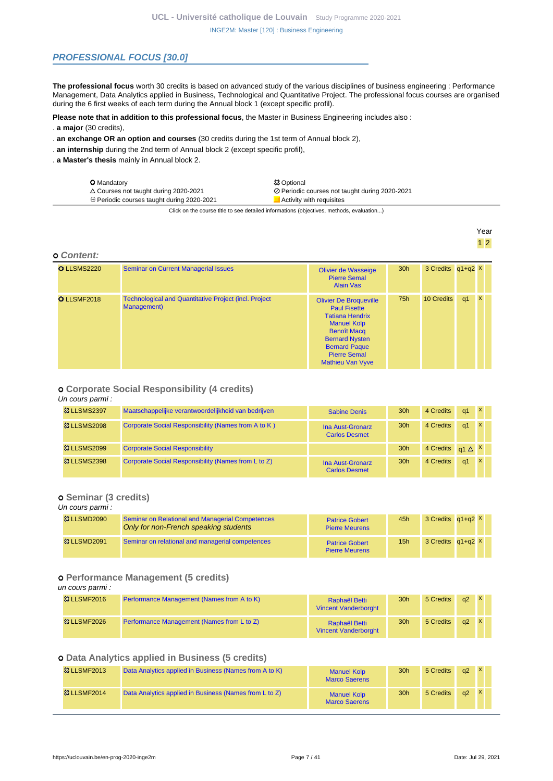# **PROFESSIONAL FOCUS [30.0]**

**The professional focus** worth 30 credits is based on advanced study of the various disciplines of business engineering : Performance Management, Data Analytics applied in Business, Technological and Quantitative Project. The professional focus courses are organised during the 6 first weeks of each term during the Annual block 1 (except specific profil).

**Please note that in addition to this professional focus**, the Master in Business Engineering includes also :

- . **a major** (30 credits),
- . **an exchange OR an option and courses** (30 credits during the 1st term of Annual block 2),
- . **an internship** during the 2nd term of Annual block 2 (except specific profil),
- . **a Master's thesis** mainly in Annual block 2.

| <b>O</b> Mandatory                                | <b>83 Optional</b>                             |
|---------------------------------------------------|------------------------------------------------|
| $\triangle$ Courses not taught during 2020-2021   | ⊘ Periodic courses not taught during 2020-2021 |
| $\oplus$ Periodic courses taught during 2020-2021 | Activity with requisites                       |

Click on the course title to see detailed informations (objectives, methods, evaluation...)

| <b>o</b> Content: | Year<br>$1\overline{2}$<br><b>Seminar on Current Managerial Issues</b><br>30h<br>3 Credits q1+q2 X<br><b>Olivier de Wasseige</b><br><b>Pierre Semal</b><br><b>Alain Vas</b><br>75h<br>$\mathsf{x}$<br>10 Credits<br>q <sub>1</sub><br><b>Technological and Quantitative Project (incl. Project)</b><br><b>Olivier De Broqueville</b><br>Management)<br><b>Paul Fisette</b><br><b>Tatiana Hendrix</b><br><b>Manuel Kolp</b><br><b>Benoît Macq</b><br><b>Bernard Nysten</b><br><b>Bernard Paque</b> |                                                |  |  |  |
|-------------------|---------------------------------------------------------------------------------------------------------------------------------------------------------------------------------------------------------------------------------------------------------------------------------------------------------------------------------------------------------------------------------------------------------------------------------------------------------------------------------------------------|------------------------------------------------|--|--|--|
| O LLSMS2220       |                                                                                                                                                                                                                                                                                                                                                                                                                                                                                                   |                                                |  |  |  |
| O LLSMF2018       |                                                                                                                                                                                                                                                                                                                                                                                                                                                                                                   | <b>Pierre Semal</b><br><b>Mathieu Van Vyve</b> |  |  |  |

### **Corporate Social Responsibility (4 credits)**

#### Un cours parmi :

| <b>&amp; LLSMS2397</b> | Maatschappelijke verantwoordelijkheid van bedrijven | <b>Sabine Denis</b>                      | 30 <sub>h</sub> | 4 Credits                  | q1 | $\mathsf{x}$ |  |
|------------------------|-----------------------------------------------------|------------------------------------------|-----------------|----------------------------|----|--------------|--|
| <b>83 LLSMS2098</b>    | Corporate Social Responsibility (Names from A to K) | Ina Aust-Gronarz<br><b>Carlos Desmet</b> | 30 <sub>h</sub> | 4 Credits                  | q1 | $\mathbf{x}$ |  |
| <b>&amp; LLSMS2099</b> | <b>Corporate Social Responsibility</b>              |                                          | 30 <sub>h</sub> | 4 Credits $q1 \triangle X$ |    |              |  |
| <b>83 LLSMS2398</b>    | Corporate Social Responsibility (Names from L to Z) | Ina Aust-Gronarz<br><b>Carlos Desmet</b> | 30 <sub>h</sub> | 4 Credits                  | q1 | $\mathsf{x}$ |  |

### **Seminar (3 credits)**

Un cours parmi :

| <b>&amp; LLSMD2090</b> | <b>Seminar on Relational and Managerial Competences</b><br>Only for non-French speaking students | <b>Patrice Gobert</b><br><b>Pierre Meurens</b> | 45h | 3 Credits q1+q2 X |  |  |
|------------------------|--------------------------------------------------------------------------------------------------|------------------------------------------------|-----|-------------------|--|--|
| <b>83 LLSMD2091</b>    | Seminar on relational and managerial competences                                                 | <b>Patrice Gobert</b><br><b>Pierre Meurens</b> | 15h | 3 Credits q1+q2 X |  |  |

# **Performance Management (5 credits)**

un cours parmi :

| <sup>33</sup> LLSMF2016 | Performance Management (Names from A to K) | <b>Raphaël Betti</b><br><b>Vincent Vanderborght</b> | 30 <sub>h</sub> | 5 Credits | q2 |  |
|-------------------------|--------------------------------------------|-----------------------------------------------------|-----------------|-----------|----|--|
| <b>&amp; LLSMF2026</b>  | Performance Management (Names from L to Z) | <b>Raphaël Betti</b><br><b>Vincent Vanderborght</b> | 30 <sub>h</sub> | 5 Credits | a2 |  |

### **Data Analytics applied in Business (5 credits)**

| <b>&amp; LLSMF2013</b>         | Data Analytics applied in Business (Names from A to K) | <b>Manuel Kolp</b><br><b>Marco Saerens</b> | 30 <sub>h</sub> | 5 Credits | q2 | $\mathbf{X}$ |  |
|--------------------------------|--------------------------------------------------------|--------------------------------------------|-----------------|-----------|----|--------------|--|
| <b><sup>23</sup> LLSMF2014</b> | Data Analytics applied in Business (Names from L to Z) | <b>Manuel Kolp</b><br><b>Marco Saerens</b> | 30h             | 5 Credits | q2 | $\mathbf{X}$ |  |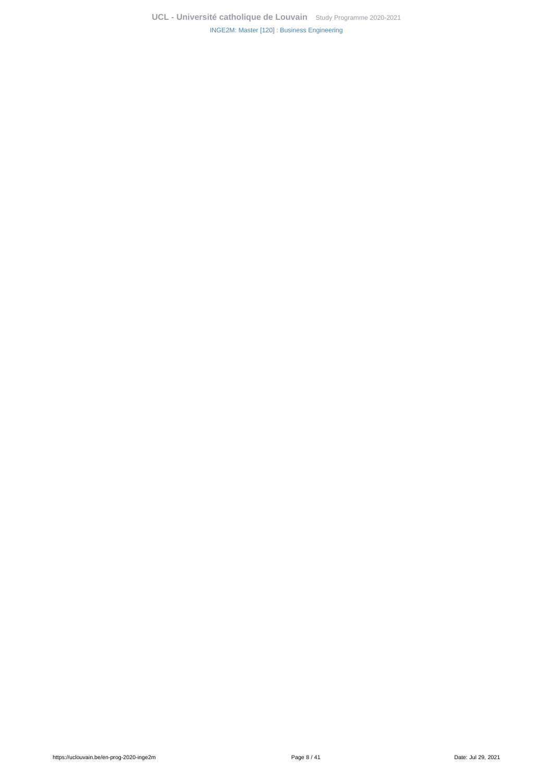**UCL - Université catholique de Louvain** [Study Programme 2020-2021](https://uclouvain.be/en/study-programme) [INGE2M: Master \[120\] : Business Engineering](https://uclouvain.be/en-prog-2020-inge2m.html)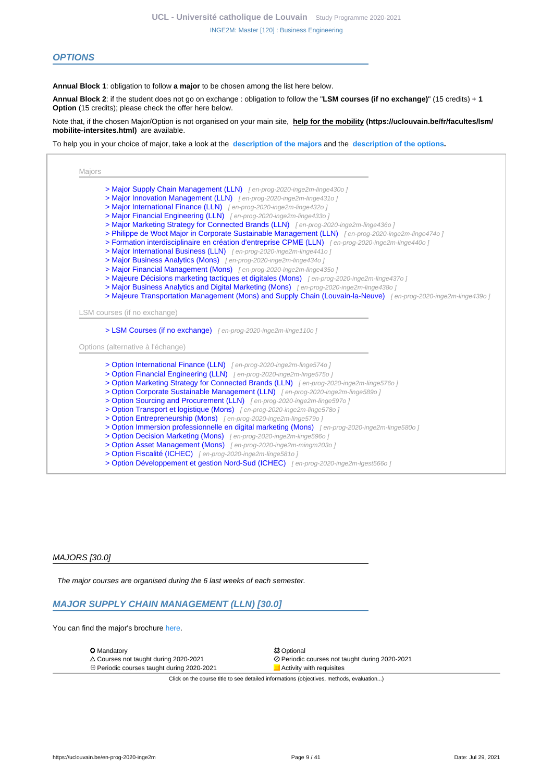**UCL - Université catholique de Louvain** [Study Programme 2020-2021](https://uclouvain.be/en/study-programme) [INGE2M: Master \[120\] : Business Engineering](https://uclouvain.be/en-prog-2020-inge2m.html)

#### **OPTIONS**

**Annual Block 1**: obligation to follow **a major** to be chosen among the list here below.

**Annual Block 2**: if the student does not go on exchange : obligation to follow the "**LSM courses (if no exchange)**" (15 credits) + **1 Option** (15 credits); please check the offer here below.

Note that, if the chosen Major/Option is not organised on your main site, **help for the mobility (https://uclouvain.be/fr/facultes/lsm/ mobilite-intersites.html)** are available.

To help you in your choice of major, take a look at the **[description of the majors](https://alfresco.uclouvain.be/share/s/uDbhPypsQO6hKHMIHrQASg)** and the **[description of the options](https://alfresco.uclouvain.be/alfresco/service/guest/streamDownload/workspace/SpacesStore/75d1137d-91ec-40cb-9d9d-3ffacb4d29cb/UCL-LSM_brochures_2020-2021_masters120Options.pdf?guest=true).**

| Majors |                                                                                                                                                  |
|--------|--------------------------------------------------------------------------------------------------------------------------------------------------|
|        | > Major Supply Chain Management (LLN) [en-prog-2020-inge2m-linge4300]                                                                            |
|        | > Major Innovation Management (LLN) [en-prog-2020-inge2m-linge431o]                                                                              |
|        | > Major International Finance (LLN) [en-prog-2020-inge2m-linge432o]                                                                              |
|        | > Major Financial Engineering (LLN) [en-prog-2020-inge2m-linge433o]                                                                              |
|        | > Major Marketing Strategy for Connected Brands (LLN) [en-prog-2020-inge2m-linge436o]                                                            |
|        | > Philippe de Woot Major in Corporate Sustainable Management (LLN) [en-prog-2020-inge2m-linge4740]                                               |
|        | > Formation interdisciplinaire en création d'entreprise CPME (LLN) [en-prog-2020-inge2m-linge4400]                                               |
|        | > Major International Business (LLN) [en-prog-2020-inge2m-linge441o]                                                                             |
|        | > Major Business Analytics (Mons) [en-prog-2020-inge2m-linge434o ]                                                                               |
|        | > Major Financial Management (Mons) [en-prog-2020-inge2m-linge435o]                                                                              |
|        | > Majeure Décisions marketing tactiques et digitales (Mons) [en-prog-2020-inge2m-linge437o]                                                      |
|        | > Major Business Analytics and Digital Marketing (Mons) [en-prog-2020-inge2m-linge4380]                                                          |
|        | > Majeure Transportation Management (Mons) and Supply Chain (Louvain-la-Neuve) [en-prog-2020-inge2m-linge439o]                                   |
|        |                                                                                                                                                  |
|        | LSM courses (if no exchange)                                                                                                                     |
|        |                                                                                                                                                  |
|        | > LSM Courses (if no exchange) [en-prog-2020-inge2m-linge110o]                                                                                   |
|        |                                                                                                                                                  |
|        | Options (alternative à l'échange)                                                                                                                |
|        |                                                                                                                                                  |
|        | > Option International Finance (LLN) [en-prog-2020-inge2m-linge574o]                                                                             |
|        | > Option Financial Engineering (LLN) [en-prog-2020-inge2m-linge575o]                                                                             |
|        | > Option Marketing Strategy for Connected Brands (LLN) [en-prog-2020-inge2m-linge5760]                                                           |
|        | > Option Corporate Sustainable Management (LLN) [en-prog-2020-inge2m-linge589o]                                                                  |
|        | > Option Sourcing and Procurement (LLN) [en-prog-2020-inge2m-linge597o]                                                                          |
|        | > Option Transport et logistique (Mons) [en-prog-2020-inge2m-linge578o]                                                                          |
|        | > Option Entrepreneurship (Mons) [en-prog-2020-inge2m-linge579o]                                                                                 |
|        | > Option Immersion professionnelle en digital marketing (Mons) [en-prog-2020-inge2m-linge580o]                                                   |
|        | > Option Decision Marketing (Mons) [en-prog-2020-inge2m-linge596o]                                                                               |
|        |                                                                                                                                                  |
|        | > Option Asset Management (Mons) [en-prog-2020-inge2m-mingm203o]                                                                                 |
|        | > Option Fiscalité (ICHEC) [en-prog-2020-inge2m-linge581o]<br>> Option Développement et gestion Nord-Sud (ICHEC) [en-prog-2020-inge2m-Igest566o] |

#### MAJORS [30.0]

The major courses are organised during the 6 last weeks of each semester.

### **MAJOR SUPPLY CHAIN MANAGEMENT (LLN) [30.0]**

You can find the major's brochure [here](https://alfresco.uclouvain.be/share/proxy/alfresco/slingshot/node/content/workspace/SpacesStore/9d1c17ea-757a-41b5-8e59-9633bdbc52f7/UCL-LSM_Supply%20Chain%20Management.pdf).

| <b>O</b> Mandatory                                | <b>83 Optional</b>                             |
|---------------------------------------------------|------------------------------------------------|
| $\triangle$ Courses not taught during 2020-2021   | ⊘ Periodic courses not taught during 2020-2021 |
| $\oplus$ Periodic courses taught during 2020-2021 | $\blacksquare$ Activity with requisites        |

Click on the course title to see detailed informations (objectives, methods, evaluation...)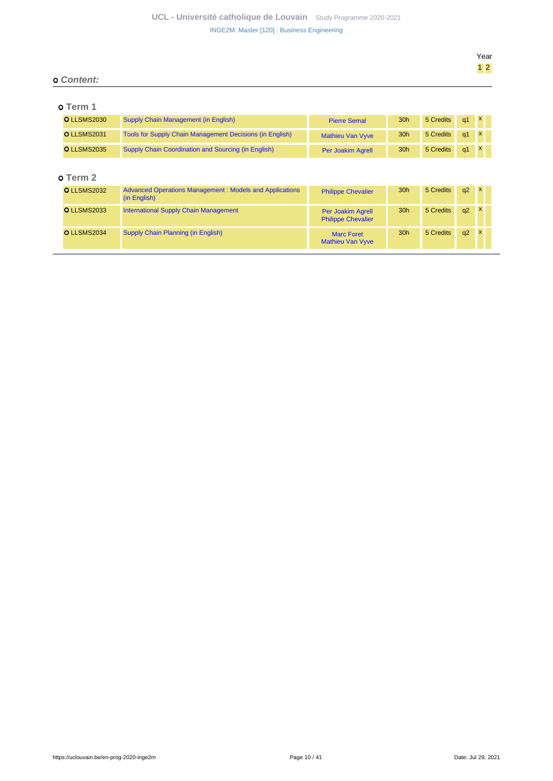### **Content:**

| o Term 1    |                                                          |                         |                 |           |    |              |  |
|-------------|----------------------------------------------------------|-------------------------|-----------------|-----------|----|--------------|--|
| O LLSMS2030 | Supply Chain Management (in English)                     | <b>Pierre Semal</b>     | 30h             | 5 Credits | q1 | $\mathbf{x}$ |  |
| O LLSMS2031 | Tools for Supply Chain Management Decisions (in English) | <b>Mathieu Van Vyve</b> | 30 <sub>h</sub> | 5 Credits | a1 | $\mathbf{x}$ |  |
| O LLSMS2035 | Supply Chain Coordination and Sourcing (in English)      | Per Joakim Agrell       | 30 <sub>h</sub> | 5 Credits | a1 | $\mathbf{x}$ |  |

# **Term 2**

| O LLSMS2032        | <b>Advanced Operations Management: Models and Applications</b><br>(in English) | <b>Philippe Chevalier</b>                      | 30 <sub>h</sub> | 5 Credits | q2 | $\mathsf{x}$ |
|--------------------|--------------------------------------------------------------------------------|------------------------------------------------|-----------------|-----------|----|--------------|
| <b>O LLSMS2033</b> | <b>International Supply Chain Management</b>                                   | Per Joakim Agrell<br><b>Philippe Chevalier</b> | 30 <sub>h</sub> | 5 Credits | a2 | $\mathsf{x}$ |
| O LLSMS2034        | Supply Chain Planning (in English)                                             | <b>Marc Foret</b><br><b>Mathieu Van Vyve</b>   | 30h             | 5 Credits | a2 | $\mathsf{x}$ |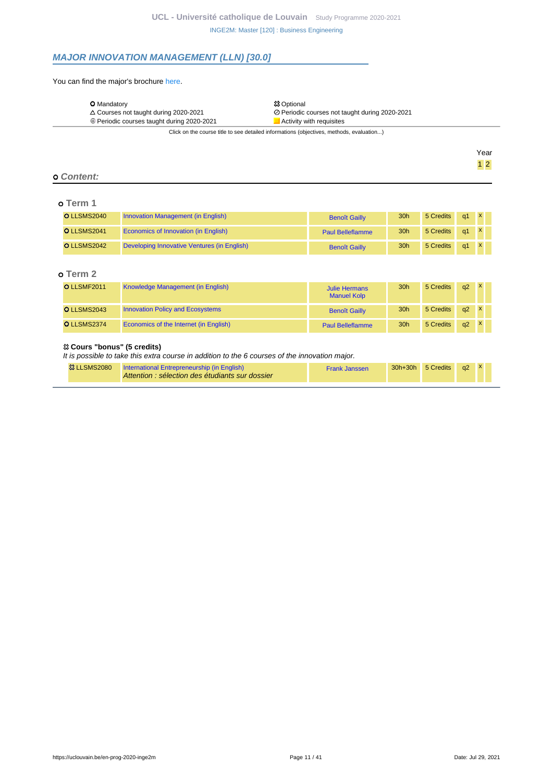# **MAJOR INNOVATION MANAGEMENT (LLN) [30.0]**

You can find the major's brochure [here](https://alfresco.uclouvain.be/share/proxy/alfresco/slingshot/node/content/workspace/SpacesStore/e62663bb-d1fc-4156-806d-2632c2eee287/UCL-LSM_Innovation%20Management.pdf).

| <b>O</b> Mandatory                                | <sup>8</sup> Optional                          |
|---------------------------------------------------|------------------------------------------------|
| $\triangle$ Courses not taught during 2020-2021   | ⊘ Periodic courses not taught during 2020-2021 |
| $\oplus$ Periodic courses taught during 2020-2021 | Activity with requisites                       |

Click on the course title to see detailed informations (objectives, methods, evaluation...)

|  |  | o Content: |  |
|--|--|------------|--|
|--|--|------------|--|

### **o** Term 1

| O LLSMS2040 | Innovation Management (in English)          | <b>Benoît Gailly</b>    | 30 <sub>h</sub> | 5 Credits | a1             |  |
|-------------|---------------------------------------------|-------------------------|-----------------|-----------|----------------|--|
| O LLSMS2041 | Economics of Innovation (in English)        | <b>Paul Belleflamme</b> | 30h             | 5 Credits | $\alpha$ 1     |  |
| O LLSMS2042 | Developing Innovative Ventures (in English) | <b>Benoît Gailly</b>    | 30 <sub>h</sub> | 5 Credits | q <sub>1</sub> |  |

# **Term 2**

| O LLSMF2011 | Knowledge Management (in English)       | <b>Julie Hermans</b><br><b>Manuel Kolp</b> | 30 <sub>h</sub> | 5 Credits | q2 | <b>X</b>     |
|-------------|-----------------------------------------|--------------------------------------------|-----------------|-----------|----|--------------|
| O LLSMS2043 | <b>Innovation Policy and Ecosystems</b> | <b>Benoît Gailly</b>                       | 30 <sub>h</sub> | 5 Credits | q2 | <b>X</b>     |
| O LLSMS2374 | Economics of the Internet (in English)  | <b>Paul Belleflamme</b>                    | 30 <sub>h</sub> | 5 Credits | q2 | $\mathbf{x}$ |

#### **Cours "bonus" (5 credits)**

It is possible to take this extra course in addition to the 6 courses of the innovation major.

| <b>23 LLSMS2080</b><br>International Entrepreneurship (in English) | <b>Frank Janssen</b> | 30h+30h 5 Credits q2 X |  |  |
|--------------------------------------------------------------------|----------------------|------------------------|--|--|
| Attention : sélection des étudiants sur dossier                    |                      |                        |  |  |

Year 1 2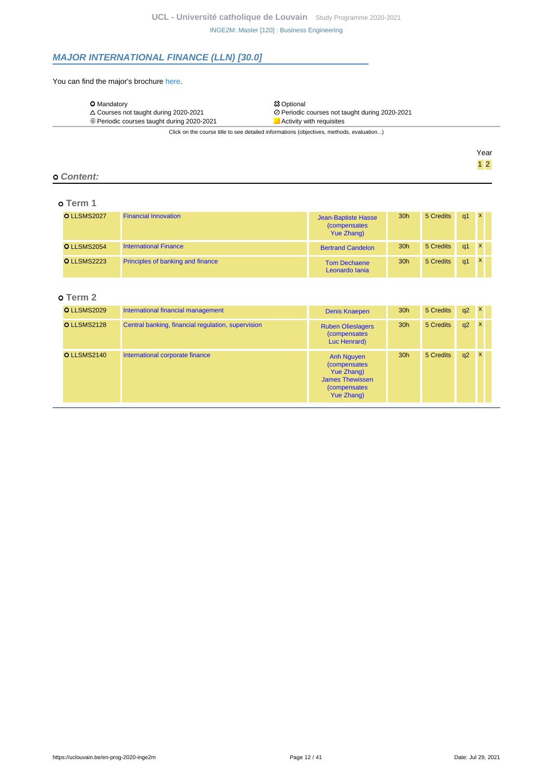# **MAJOR INTERNATIONAL FINANCE (LLN) [30.0]**

You can find the major's brochure [here](https://alfresco.uclouvain.be/share/proxy/alfresco/slingshot/node/content/workspace/SpacesStore/a71597a0-8598-4df3-ac50-248ee184c32b/UCL-LSM_International%20Finance.pdf).

| <b>O</b> Mandatory                              | <b>83 Optional</b>              |
|-------------------------------------------------|---------------------------------|
| $\triangle$ Courses not taught during 2020-2021 | ⊘ Periodic courses not taught d |
| A Periodic courses taught during 2020-2021      | Activity with requisites        |

Periodic courses taught during 2020-2021 **Activity with requisites** 

during 2020-2021

Click on the course title to see detailed informations (objectives, methods, evaluation...)

|  | o Content: |
|--|------------|
|--|------------|

### **Term 1**

| O LLSMS2027 | <b>Financial Innovation</b>       | Jean-Baptiste Hasse<br><i>(compensates)</i><br>Yue Zhang) | 30 <sub>h</sub> | 5 Credits | q1             | $\boldsymbol{\mathsf{x}}$ |  |
|-------------|-----------------------------------|-----------------------------------------------------------|-----------------|-----------|----------------|---------------------------|--|
| O LLSMS2054 | <b>International Finance</b>      | <b>Bertrand Candelon</b>                                  | 30 <sub>h</sub> | 5 Credits | q1             | X                         |  |
| O LLSMS2223 | Principles of banking and finance | <b>Tom Dechaene</b><br>Leonardo lania                     | 30 <sub>h</sub> | 5 Credits | q <sub>1</sub> | $\boldsymbol{\mathsf{x}}$ |  |

# **Term 2**

| O LLSMS2029 | International financial management                 | Denis Knaepen                                                                                                   | 30 <sub>h</sub> | 5 Credits | q2 | $\mathbf{X}$ |
|-------------|----------------------------------------------------|-----------------------------------------------------------------------------------------------------------------|-----------------|-----------|----|--------------|
| O LLSMS2128 | Central banking, financial regulation, supervision | <b>Ruben Olieslagers</b><br><i>(compensates)</i><br>Luc Henrard)                                                | 30 <sub>h</sub> | 5 Credits | q2 | $\mathbf{x}$ |
| O LLSMS2140 | International corporate finance                    | Anh Nguyen<br><i>(compensates)</i><br><b>Yue Zhang)</b><br><b>James Thewissen</b><br>(compensates<br>Yue Zhang) | 30 <sub>h</sub> | 5 Credits | q2 | $\mathbf{x}$ |

Year 1 2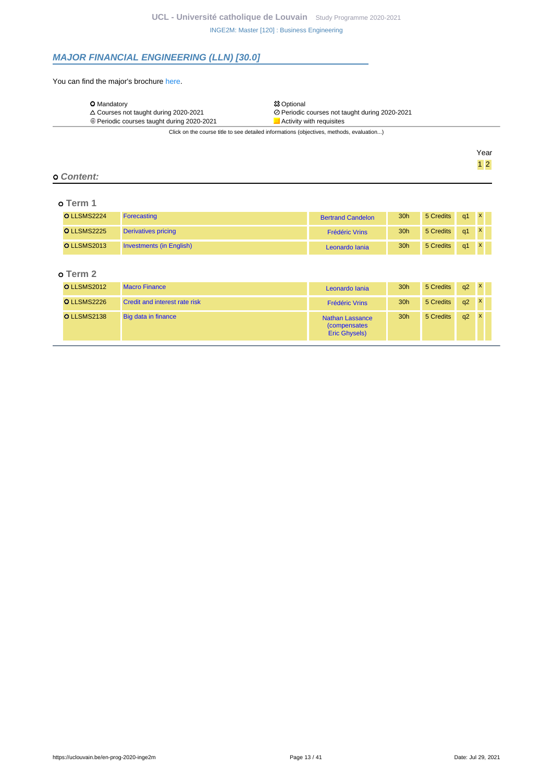# **MAJOR FINANCIAL ENGINEERING (LLN) [30.0]**

You can find the major's brochure [here](https://alfresco.uclouvain.be/share/proxy/alfresco/slingshot/node/content/workspace/SpacesStore/73699f34-9c89-48ee-b72e-a3447c91894f/UCL-LSM_Financial%20Engineering.pdf).

| <b>O</b> Mandatory                                | <b>83 Optional</b>                             |
|---------------------------------------------------|------------------------------------------------|
| $\triangle$ Courses not taught during 2020-2021   | ⊘ Periodic courses not taught during 2020-2021 |
| $\oplus$ Periodic courses taught during 2020-2021 | Activity with requisites                       |

Click on the course title to see detailed informations (objectives, methods, evaluation...)

|  | ея<br>ı |
|--|---------|
|  |         |

# **Content:**

| o Term 1    |                          |                          |                 |           |    |           |  |
|-------------|--------------------------|--------------------------|-----------------|-----------|----|-----------|--|
| O LLSMS2224 | Forecasting              | <b>Bertrand Candelon</b> | 30 <sub>h</sub> | 5 Credits | q1 | <b>IX</b> |  |
| O LLSMS2225 | Derivatives pricing      | <b>Frédéric Vrins</b>    | 30 <sub>h</sub> | 5 Credits | q1 |           |  |
| O LLSMS2013 | Investments (in English) | Leonardo lania           | 30 <sub>h</sub> | 5 Credits | q1 |           |  |

# **Term 2**

| O LLSMS2012 | <b>Macro Finance</b>          | Leonardo lania                                                         | 30 <sub>h</sub> | 5 Credits | q2 | $\mathbf{X}$ |
|-------------|-------------------------------|------------------------------------------------------------------------|-----------------|-----------|----|--------------|
| O LLSMS2226 | Credit and interest rate risk | <b>Frédéric Vrins</b>                                                  | 30 <sub>h</sub> | 5 Credits | q2 | VX N         |
| O LLSMS2138 | Big data in finance           | <b>Nathan Lassance</b><br><i>(compensates)</i><br><b>Eric Ghysels)</b> | 30 <sub>h</sub> | 5 Credits | q2 | $\mathbf{X}$ |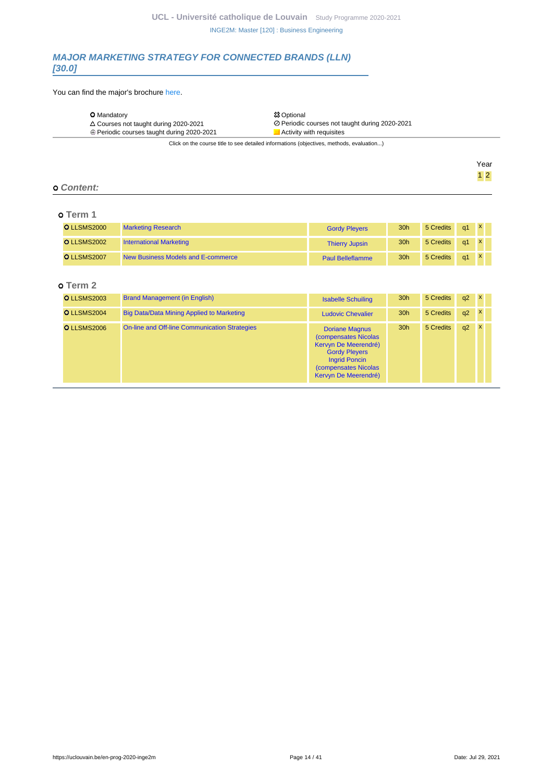# **MAJOR MARKETING STRATEGY FOR CONNECTED BRANDS (LLN) [30.0]**

You can find the major's brochure [here](https://alfresco.uclouvain.be/share/proxy/alfresco/slingshot/node/content/workspace/SpacesStore/80103550-c0e0-4b7d-8b5e-5f09ec36cd25/UCL-LSM_Marketing%20Strategy%20for%20connected%20brands.pdf).

|  | <b>O</b> Mandatory |
|--|--------------------|
|--|--------------------|

O Mandatory 23 Optional<br>
△ Courses not taught during 2020-2021 2021 20 Periodic

Courses not taught during 2020-2021 Periodic courses not taught during 2020-2021

⊕ Periodic courses taught during 2020-2021 Activity with requisites

Click on the course title to see detailed informations (objectives, methods, evaluation...)

|  | ٠ |
|--|---|
|  |   |

# **Content:**

# $o$  Term 1

| O LLSMS2000 | <b>Marketing Research</b>          | <b>Gordy Pleyers</b>    | 30h             | 5 Credits | $\alpha$ 1 |  |
|-------------|------------------------------------|-------------------------|-----------------|-----------|------------|--|
| O LLSMS2002 | <b>International Marketing</b>     | <b>Thierry Jupsin</b>   | 30 <sub>h</sub> | 5 Credits | $\alpha$ 1 |  |
| O LLSMS2007 | New Business Models and E-commerce | <b>Paul Belleflamme</b> | 30 <sub>h</sub> | 5 Credits | q1         |  |

### $o$  Term 2

| O LLSMS2003 | <b>Brand Management (in English)</b>                 | <b>Isabelle Schuiling</b>                                                                                                                                              | 30 <sub>h</sub> | 5 Credits | q2 | $\boldsymbol{\mathsf{X}}$ |
|-------------|------------------------------------------------------|------------------------------------------------------------------------------------------------------------------------------------------------------------------------|-----------------|-----------|----|---------------------------|
| O LLSMS2004 | Big Data/Data Mining Applied to Marketing            | <b>Ludovic Chevalier</b>                                                                                                                                               | 30 <sub>h</sub> | 5 Credits | q2 | $\mathbf{x}$              |
| O LLSMS2006 | <b>On-line and Off-line Communication Strategies</b> | <b>Doriane Magnus</b><br>(compensates Nicolas<br>Kervyn De Meerendré)<br><b>Gordy Pleyers</b><br><b>Ingrid Poncin</b><br>(compensates Nicolas)<br>Kervyn De Meerendré) | 30 <sub>h</sub> | 5 Credits | q2 | $\mathbf{x}$              |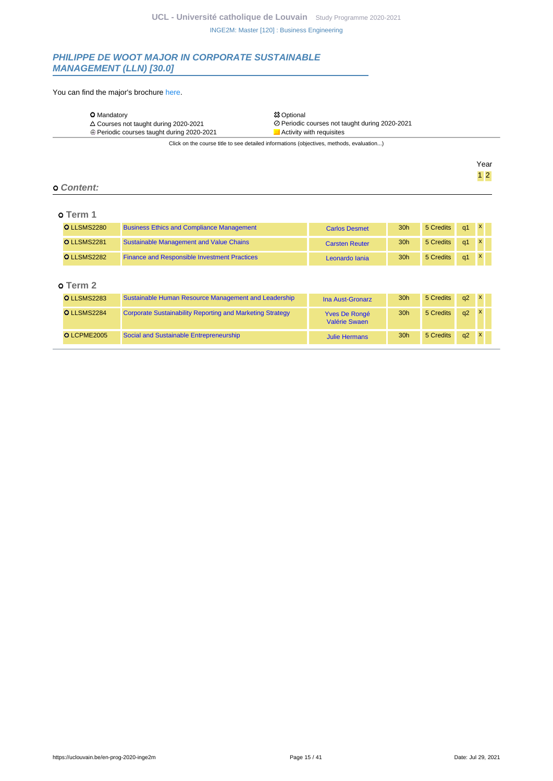# **PHILIPPE DE WOOT MAJOR IN CORPORATE SUSTAINABLE MANAGEMENT (LLN) [30.0]**

You can find the major's brochure [here](https://alfresco.uclouvain.be/share/proxy/alfresco/slingshot/node/content/workspace/SpacesStore/6b965a37-6717-4bac-9007-310ef969f7c0/UCL-LSM_Philippe%20De%20Woot%20in%20Corporate%20Sustainable%20Management.pdf).

| <b>O</b> Mandatory                              |  |
|-------------------------------------------------|--|
| $\triangle$ Courses not taught during 2020-2021 |  |

 $\oplus$  Periodic courses taught during 2020-2021 **Activity with requisites** 

**終 Optional** 

Courses not taught during 2020-2021 Periodic courses not taught during 2020-2021

Click on the course title to see detailed informations (objectives, methods, evaluation...)

|  | ٠ |
|--|---|
|  |   |

# **Content:**

| o Term 1    |                                                     |                       |                 |           |           |              |  |
|-------------|-----------------------------------------------------|-----------------------|-----------------|-----------|-----------|--------------|--|
| O LLSMS2280 | <b>Business Ethics and Compliance Management</b>    | <b>Carlos Desmet</b>  | 30 <sub>h</sub> | 5 Credits | <b>a1</b> | $\mathbf{X}$ |  |
| O LLSMS2281 | <b>Sustainable Management and Value Chains</b>      | <b>Carsten Reuter</b> | 30 <sub>h</sub> | 5 Credits | q1        |              |  |
| O LLSMS2282 | <b>Finance and Responsible Investment Practices</b> | Leonardo lania        | 30 <sub>h</sub> | 5 Credits | q1        |              |  |

# $o$  Term 2

| O LLSMS2283 | Sustainable Human Resource Management and Leadership      | Ina Aust-Gronarz                      | 30 <sub>h</sub> | 5 Credits | q2 | $\mathbf{X}$ |
|-------------|-----------------------------------------------------------|---------------------------------------|-----------------|-----------|----|--------------|
| O LLSMS2284 | Corporate Sustainability Reporting and Marketing Strategy | <b>Yves De Rongé</b><br>Valérie Swaen | 30 <sub>h</sub> | 5 Credits | q2 | $\mathbf{X}$ |
| O LCPME2005 | Social and Sustainable Entrepreneurship                   | <b>Julie Hermans</b>                  | 30 <sub>h</sub> | 5 Credits | a2 | $\mathbf{x}$ |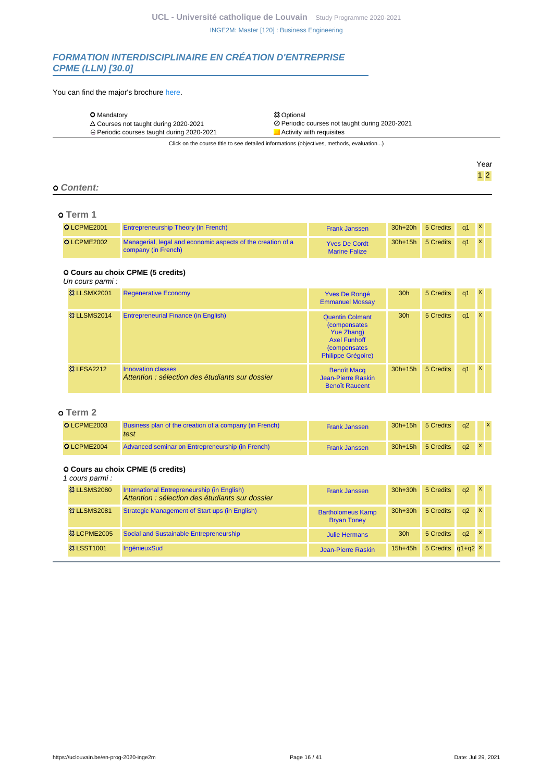# **FORMATION INTERDISCIPLINAIRE EN CRÉATION D'ENTREPRISE CPME (LLN) [30.0]**

You can find the major's brochure [here](https://alfresco.uclouvain.be/share/proxy/alfresco/slingshot/node/content/workspace/SpacesStore/b9949c3f-94ea-421f-baab-5fba5ddff87c/UCL-LSM_CPME.pdf).

|  | <b>O</b> Mandatory |
|--|--------------------|
|--|--------------------|

- O Mandatory 23 Optional<br>
△ Courses not taught during 2020-2021 2021 20 Periodic
- ⊕ Periodic courses taught during 2020-2021 <br>
 Activity with requisites

Courses not taught during 2020-2021 Periodic courses not taught during 2020-2021

Click on the course title to see detailed informations (objectives, methods, evaluation...)

| э<br>ī |
|--------|
|        |

# **Content:**

# **Term 1**

| O LCPME2001 | <b>Entrepreneurship Theory (in French)</b>                                         | <b>Frank Janssen</b>                         | $30h+20h$ | 5 Credits | - a1 |  |
|-------------|------------------------------------------------------------------------------------|----------------------------------------------|-----------|-----------|------|--|
| O LCPME2002 | Managerial, legal and economic aspects of the creation of a<br>company (in French) | <b>Yves De Cordt</b><br><b>Marine Falize</b> | $30h+15h$ | 5 Credits | a1   |  |

# **Cours au choix CPME (5 credits)**

Un cours parmi :

| <b>&amp;3 LLSMX2001</b> | <b>Regenerative Economy</b>                                                  | <b>Yves De Rongé</b><br><b>Emmanuel Mossay</b>                                                                                                  | 30 <sub>h</sub> | 5 Credits | q <sub>1</sub> | $\mathbf{x}$ |
|-------------------------|------------------------------------------------------------------------------|-------------------------------------------------------------------------------------------------------------------------------------------------|-----------------|-----------|----------------|--------------|
| <b>&amp; LLSMS2014</b>  | Entrepreneurial Finance (in English)                                         | <b>Quentin Colmant</b><br><i>(compensates)</i><br><b>Yue Zhang)</b><br><b>Axel Funhoff</b><br><i>(compensates)</i><br><b>Philippe Grégoire)</b> | 30 <sub>h</sub> | 5 Credits | q1             | $\mathsf{x}$ |
| <b>&amp; LFSA2212</b>   | <b>Innovation classes</b><br>Attention : sélection des étudiants sur dossier | <b>Benoît Macq</b><br>Jean-Pierre Raskin<br><b>Benoît Raucent</b>                                                                               | $30h+15h$       | 5 Credits | q1             | $\mathsf{x}$ |

### **Term 2**

| O LCPME2003 | Business plan of the creation of a company (in French)<br>test | <b>Frank Janssen</b> | $30h+15h$ | 5 Credits | $\alpha$              |  |
|-------------|----------------------------------------------------------------|----------------------|-----------|-----------|-----------------------|--|
| O LCPME2004 | Advanced seminar on Entrepreneurship (in French)               | <b>Frank Janssen</b> | $30h+15h$ | 5 Credits | $\alpha$ <sup>2</sup> |  |

#### **Cours au choix CPME (5 credits)**

1 cours parmi :

| <b>&amp;3 LLSMS2080</b> | International Entrepreneurship (in English)<br>Attention : sélection des étudiants sur dossier | <b>Frank Janssen</b>                           | $30h+30h$       | 5 Credits         | a2 | $\mathbf{X}$ |
|-------------------------|------------------------------------------------------------------------------------------------|------------------------------------------------|-----------------|-------------------|----|--------------|
| <b>&amp; LLSMS2081</b>  | Strategic Management of Start ups (in English)                                                 | <b>Bartholomeus Kamp</b><br><b>Bryan Toney</b> | $30h+30h$       | 5 Credits         | a2 | $\mathbf{X}$ |
| <b>&amp; LCPME2005</b>  | Social and Sustainable Entrepreneurship                                                        | <b>Julie Hermans</b>                           | 30 <sub>h</sub> | 5 Credits         | q2 | $\mathbf{X}$ |
| <b>&amp; LSST1001</b>   | <b>IngénieuxSud</b>                                                                            | <b>Jean-Pierre Raskin</b>                      | $15h+45h$       | 5 Credits q1+q2 X |    |              |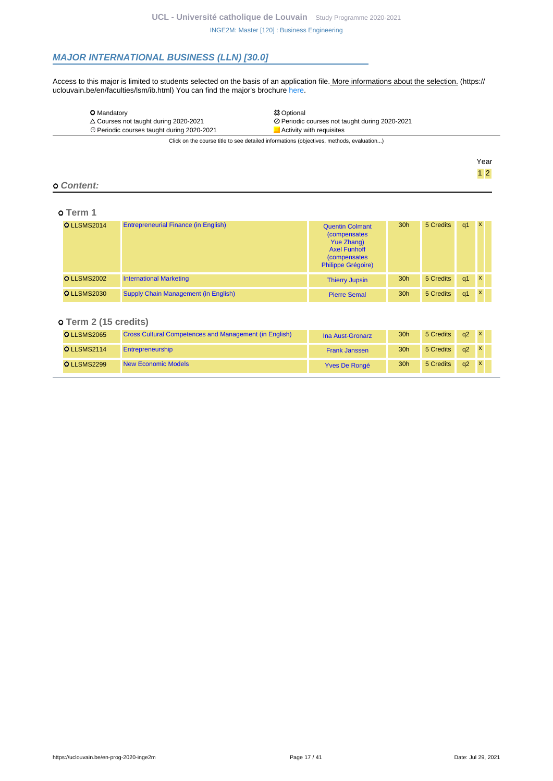# **MAJOR INTERNATIONAL BUSINESS (LLN) [30.0]**

Access to this major is limited to students selected on the basis of an application file. More informations about the selection. (https:// uclouvain.be/en/faculties/lsm/ib.html) You can find the major's brochure [here](https://alfresco.uclouvain.be/share/proxy/alfresco/slingshot/node/content/workspace/SpacesStore/c6d858f1-bceb-4542-84bf-9dff5869b33c/UCL-LSM_International%20Business.pdf).

| O Mandatory |
|-------------|
|-------------|

- O Mandatory 2020-2021<br>
△ Courses not taught during 2020-2021 2021 2020
- $\oplus$  Periodic courses taught during 2020-2021

O Periodic courses not taught during 2020-2021<br>Activity with requisites

Click on the course title to see detailed informations (objectives, methods, evaluation...)

| eа<br>г |
|---------|
|         |

# **Content:**

# $o$  Term 1

| O LLSMS2014 | <b>Entrepreneurial Finance (in English)</b> | <b>Quentin Colmant</b><br><i>(compensates)</i><br><b>Yue Zhang)</b><br><b>Axel Funhoff</b><br><i>(compensates)</i><br>Philippe Grégoire) | 30 <sub>h</sub> | 5 Credits | q <sub>1</sub> | X |  |
|-------------|---------------------------------------------|------------------------------------------------------------------------------------------------------------------------------------------|-----------------|-----------|----------------|---|--|
| O LLSMS2002 | <b>International Marketing</b>              | <b>Thierry Jupsin</b>                                                                                                                    | 30 <sub>h</sub> | 5 Credits | q <sub>1</sub> | X |  |
| O LLSMS2030 | Supply Chain Management (in English)        | <b>Pierre Semal</b>                                                                                                                      | 30 <sub>h</sub> | 5 Credits | q <sub>1</sub> | X |  |

### **Term 2 (15 credits)**

| O LLSMS2065 | <b>Cross Cultural Competences and Management (in English)</b> | Ina Aust-Gronarz     | 30 <sub>h</sub> | 5 Credits | $q2 \times$ |              |  |
|-------------|---------------------------------------------------------------|----------------------|-----------------|-----------|-------------|--------------|--|
| O LLSMS2114 | Entrepreneurship                                              | <b>Frank Janssen</b> | 30 <sub>h</sub> | 5 Credits | q2          | $\mathbf{x}$ |  |
| O LLSMS2299 | <b>New Economic Models</b>                                    | Yves De Rongé        | 30 <sub>h</sub> | 5 Credits | q2          | $\mathbf{X}$ |  |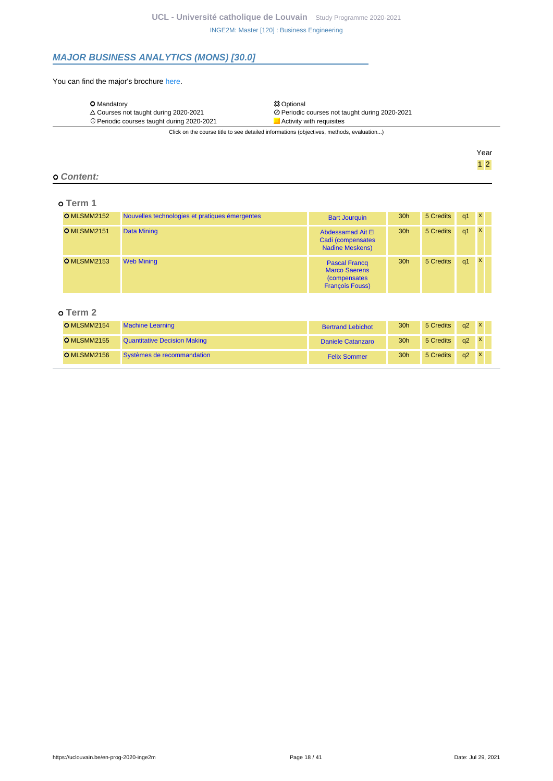# **MAJOR BUSINESS ANALYTICS (MONS) [30.0]**

You can find the major's brochure [here](https://alfresco.uclouvain.be/share/proxy/alfresco/slingshot/node/content/workspace/SpacesStore/2d2e4dc4-3c17-41bf-9933-7e23503e7238/UCL-LSM_Business%20Analytics.pdf).

| <b>O</b> Mandatory                                | <b>83 Optional</b>                             |
|---------------------------------------------------|------------------------------------------------|
| $\triangle$ Courses not taught during 2020-2021   | ⊘ Periodic courses not taught during 2020-2021 |
| $\oplus$ Periodic courses taught during 2020-2021 | <b>Activity with requisites</b>                |

Click on the course title to see detailed informations (objectives, methods, evaluation...)

|  | o Content: |
|--|------------|
|--|------------|

| o Term 1           |                                                |                                                                                                |                 |           |                |              |  |
|--------------------|------------------------------------------------|------------------------------------------------------------------------------------------------|-----------------|-----------|----------------|--------------|--|
| <b>O</b> MLSMM2152 | Nouvelles technologies et pratiques émergentes | <b>Bart Jourquin</b>                                                                           | 30 <sub>h</sub> | 5 Credits | q1             | $\mathbf{x}$ |  |
| <b>O</b> MLSMM2151 | Data Mining                                    | Abdessamad Ait El<br>Cadi (compensates<br><b>Nadine Meskens)</b>                               | 30 <sub>h</sub> | 5 Credits | q1             | $\mathbf{x}$ |  |
| <b>O</b> MLSMM2153 | <b>Web Mining</b>                              | <b>Pascal Francq</b><br><b>Marco Saerens</b><br><i>(compensates)</i><br><b>François Fouss)</b> | 30 <sub>h</sub> | 5 Credits | q <sub>1</sub> | $\mathbf{x}$ |  |

# **o** Term 2

| O MLSMM2154 | <b>Machine Learning</b>             | <b>Bertrand Lebichot</b> | 30 <sub>h</sub> | 5 Credits | $q2 \times$ |              |
|-------------|-------------------------------------|--------------------------|-----------------|-----------|-------------|--------------|
| O MLSMM2155 | <b>Quantitative Decision Making</b> | Daniele Catanzaro        | 30h             | 5 Credits | $a2 \times$ |              |
| O MLSMM2156 | Systèmes de recommandation          | <b>Felix Sommer</b>      | 30h             | 5 Credits | a2          | $\mathbf{X}$ |

Year 1 2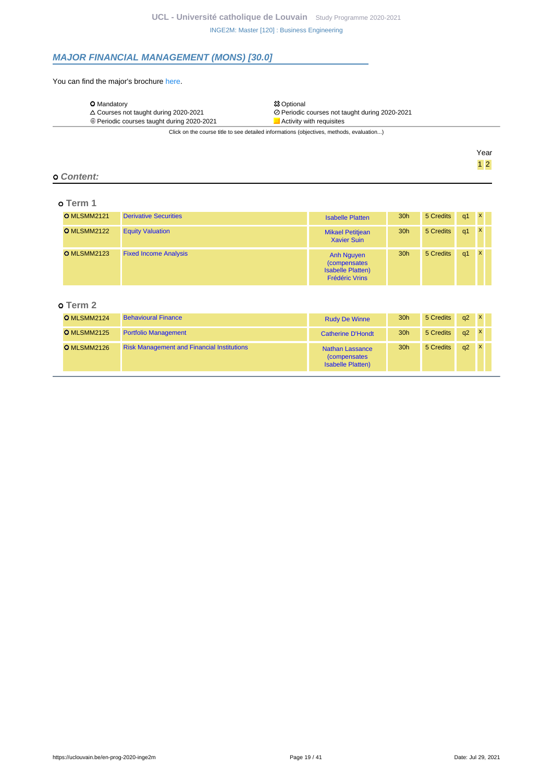# **MAJOR FINANCIAL MANAGEMENT (MONS) [30.0]**

You can find the major's brochure [here](https://alfresco.uclouvain.be/share/proxy/alfresco/slingshot/node/content/workspace/SpacesStore/0f745933-a383-46cc-b4c2-3ef6f80359e2/UCL-LSM_Financial%20Management.pdf).

| <b>O</b> Mandatory                                | <b>83 Optional</b>                             |
|---------------------------------------------------|------------------------------------------------|
| $\triangle$ Courses not taught during 2020-2021   | ⊘ Periodic courses not taught during 2020-2021 |
| $\oplus$ Periodic courses taught during 2020-2021 | <b>Activity with requisites</b>                |

Click on the course title to see detailed informations (objectives, methods, evaluation...)

|  | o Content: |
|--|------------|
|--|------------|

# **Term 1**

| -------            |                              |                                                                                                |                 |           |                |                           |  |
|--------------------|------------------------------|------------------------------------------------------------------------------------------------|-----------------|-----------|----------------|---------------------------|--|
| <b>O</b> MLSMM2121 | <b>Derivative Securities</b> | <b>Isabelle Platten</b>                                                                        | 30 <sub>h</sub> | 5 Credits | q1             | $\mathbf{x}$              |  |
| <b>O</b> MLSMM2122 | <b>Equity Valuation</b>      | <b>Mikael Petitjean</b><br><b>Xavier Suin</b>                                                  | 30 <sub>h</sub> | 5 Credits | q1             | $\boldsymbol{\mathsf{x}}$ |  |
| <b>O</b> MLSMM2123 | <b>Fixed Income Analysis</b> | <b>Anh Nguyen</b><br><i>(compensates)</i><br><b>Isabelle Platten)</b><br><b>Frédéric Vrins</b> | 30 <sub>h</sub> | 5 Credits | q <sub>1</sub> | $\boldsymbol{\mathsf{x}}$ |  |

# $o$  Term 2

| O MLSMM2124        | <b>Behavioural Finance</b>                        | <b>Rudy De Winne</b>                                               | 30 <sub>h</sub> | 5 Credits | $q2 \times$ |              |
|--------------------|---------------------------------------------------|--------------------------------------------------------------------|-----------------|-----------|-------------|--------------|
| <b>O</b> MLSMM2125 | <b>Portfolio Management</b>                       | <b>Catherine D'Hondt</b>                                           | 30 <sub>h</sub> | 5 Credits | q2          | $\mathbf{x}$ |
| <b>O</b> MLSMM2126 | <b>Risk Management and Financial Institutions</b> | <b>Nathan Lassance</b><br>(compensates<br><b>Isabelle Platten)</b> | 30 <sub>h</sub> | 5 Credits | q2          | $\mathbf{x}$ |

Year 1 2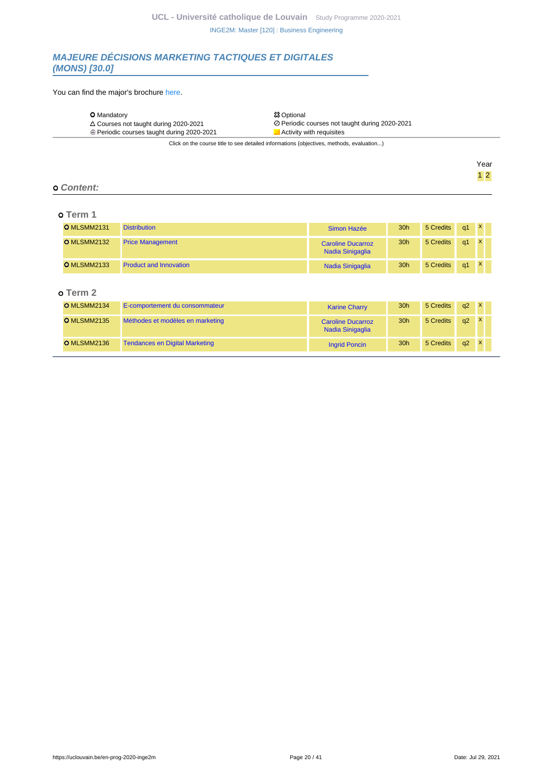# **MAJEURE DÉCISIONS MARKETING TACTIQUES ET DIGITALES (MONS) [30.0]**

You can find the major's brochure [here](https://alfresco.uclouvain.be/share/proxy/alfresco/slingshot/node/content/workspace/SpacesStore/2529d6e7-198f-451a-91f8-c275adbafef4/UCL-LSM_De%cc%81cisions%20Marketing%20Tactiques%20et%20Digitales.pdf).

| <b>O</b> Mandatory                                | <b>83 Optional</b>                      |
|---------------------------------------------------|-----------------------------------------|
| $\triangle$ Courses not taught during 2020-2021   | ⊘ Periodic courses not ta               |
| $\oplus$ Periodic courses taught during 2020-2021 | $\blacksquare$ Activity with requisites |

ic courses not taught during 2020-2021

Click on the course title to see detailed informations (objectives, methods, evaluation...)

Year 1 2

# **Content:**

# $o$  Term 1

| O MLSMM2131        | <b>Distribution</b>           | Simon Hazée                                  | 30h | 5 Credits | a1             |  |
|--------------------|-------------------------------|----------------------------------------------|-----|-----------|----------------|--|
| <b>O</b> MLSMM2132 | <b>Price Management</b>       | <b>Caroline Ducarroz</b><br>Nadia Sinigaglia | 30h | 5 Credits | q1             |  |
| <b>O</b> MLSMM2133 | <b>Product and Innovation</b> | Nadia Sinigaglia                             | 30h | 5 Credits | q <sub>1</sub> |  |

# **Term 2**

| O MLSMM2134        | E-comportement du consommateur        | <b>Karine Charry</b>                         | 30 <sub>h</sub> | 5 Credits | a2 | $\mathbf{X}$ |
|--------------------|---------------------------------------|----------------------------------------------|-----------------|-----------|----|--------------|
| O MLSMM2135        | Méthodes et modèles en marketing      | <b>Caroline Ducarroz</b><br>Nadia Sinigaglia | 30h             | 5 Credits | a2 | $\mathbf{X}$ |
| <b>O</b> MLSMM2136 | <b>Tendances en Digital Marketing</b> | <b>Ingrid Poncin</b>                         | 30h             | 5 Credits | a2 | $\mathbf{x}$ |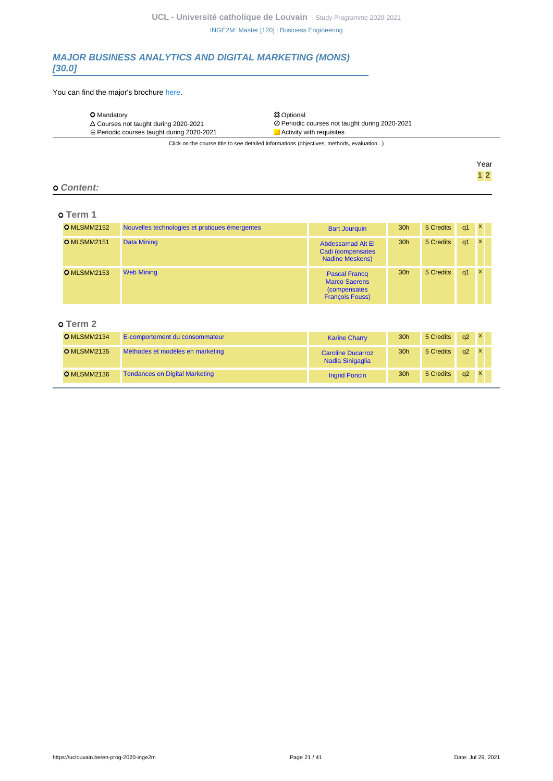# **MAJOR BUSINESS ANALYTICS AND DIGITAL MARKETING (MONS) [30.0]**

You can find the major's brochure [here](https://alfresco.uclouvain.be/share/proxy/alfresco/slingshot/node/content/workspace/SpacesStore/2e43af5c-d829-44a5-a54b-7c626c9a6b2a/UCL_LSM_Business%20Analytics%20and%20Digital%20Marketing.pdf).

- O Mandatory 23 Optional<br>
△ Courses not taught during 2020-2021 2021 20 Periodic
- $\oplus$  Periodic courses taught during 2020-2021 **Activity with requisites**

Courses not taught during 2020-2021 Periodic courses not taught during 2020-2021

Click on the course title to see detailed informations (objectives, methods, evaluation...)

Year 1 2

# **Content:**

# **Term 1**

| <b>O</b> MLSMM2152 | Nouvelles technologies et pratiques émergentes | <b>Bart Jourguin</b>                                                                           | 30 <sub>h</sub> | 5 Credits | q1             | $\mathbf{x}$ |  |
|--------------------|------------------------------------------------|------------------------------------------------------------------------------------------------|-----------------|-----------|----------------|--------------|--|
| <b>O</b> MLSMM2151 | <b>Data Mining</b>                             | Abdessamad Ait El<br>Cadi (compensates<br><b>Nadine Meskens)</b>                               | 30 <sub>h</sub> | 5 Credits | q <sub>1</sub> | $\mathsf{x}$ |  |
| <b>O</b> MLSMM2153 | <b>Web Mining</b>                              | <b>Pascal Francq</b><br><b>Marco Saerens</b><br><i>(compensates)</i><br><b>Francois Fouss)</b> | 30 <sub>h</sub> | 5 Credits | q1             | $\mathsf{x}$ |  |

# **Term 2**

| <b>O</b> MLSMM2134 | E-comportement du consommateur        | <b>Karine Charry</b>                         | 30 <sub>h</sub> | 5 Credits | $q2 \times$ |              |
|--------------------|---------------------------------------|----------------------------------------------|-----------------|-----------|-------------|--------------|
| O MLSMM2135        | Méthodes et modèles en marketing      | <b>Caroline Ducarroz</b><br>Nadia Sinigaglia | 30h             | 5 Credits | q2          | $\mathbf{X}$ |
| O MLSMM2136        | <b>Tendances en Digital Marketing</b> | <b>Ingrid Poncin</b>                         | 30h             | 5 Credits | q2          | $\mathbf{X}$ |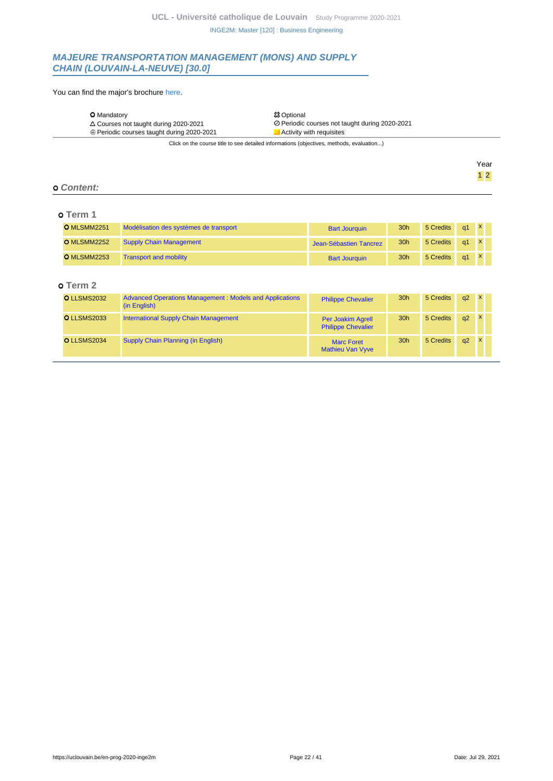### **MAJEURE TRANSPORTATION MANAGEMENT (MONS) AND SUPPLY CHAIN (LOUVAIN-LA-NEUVE) [30.0]**

You can find the major's brochure [here](https://alfresco.uclouvain.be/share/proxy/alfresco/slingshot/node/content/workspace/SpacesStore/4ffedbb3-205e-418a-aa02-77550cd36aab/UCL-LSM_Transportation%20and%20Supply%20Chain%20Management.pdf).

| <b>O</b> Mandatory                              |
|-------------------------------------------------|
| $\triangle$ Courses not taught during 2020-2021 |

 $\oplus$  Periodic courses taught during 2020-2021 **Activity with requisites** 

**終 Optional** 

Courses not taught during 2020-2021 Periodic courses not taught during 2020-2021

Click on the course title to see detailed informations (objectives, methods, evaluation...)

| ear |
|-----|
|     |

# **Content:**

# **Term 1**

| O MLSMM2251        | Modélisation des systèmes de transport | <b>Bart Jourguin</b>   | 30 <sub>h</sub> | 5 Credits | g1 |  |
|--------------------|----------------------------------------|------------------------|-----------------|-----------|----|--|
| O MLSMM2252        | <b>Supply Chain Management</b>         | Jean-Sébastien Tancrez | 30h             | 5 Credits | a1 |  |
| <b>O</b> MLSMM2253 | <b>Transport and mobility</b>          | <b>Bart Jourguin</b>   | 30h             | 5 Credits | q1 |  |

# $o$  Term 2

| O LLSMS2032        | Advanced Operations Management: Models and Applications<br>(in English) | <b>Philippe Chevalier</b>                      | 30 <sub>h</sub> | 5 Credits | q2 | $\mathbf{x}$ |
|--------------------|-------------------------------------------------------------------------|------------------------------------------------|-----------------|-----------|----|--------------|
| <b>O LLSMS2033</b> | <b>International Supply Chain Management</b>                            | Per Joakim Agrell<br><b>Philippe Chevalier</b> | 30 <sub>h</sub> | 5 Credits | q2 | $\mathbf{x}$ |
| O LLSMS2034        | Supply Chain Planning (in English)                                      | <b>Marc Foret</b><br><b>Mathieu Van Vyve</b>   | 30 <sub>h</sub> | 5 Credits | q2 | $\mathbf{x}$ |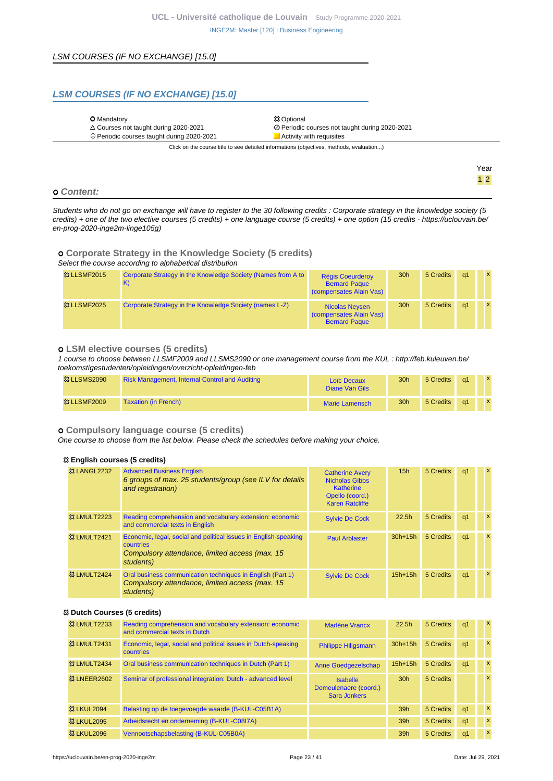### LSM COURSES (IF NO EXCHANGE) [15.0]

# **LSM COURSES (IF NO EXCHANGE) [15.0]**

| <b>O</b> Mandatory                                                                                              | <b>83 Optional</b>                             |  |  |  |  |
|-----------------------------------------------------------------------------------------------------------------|------------------------------------------------|--|--|--|--|
| $\triangle$ Courses not taught during 2020-2021                                                                 | ⊘ Periodic courses not taught during 2020-2021 |  |  |  |  |
| ⊕ Periodic courses taught during 2020-2021                                                                      | Activity with requisites                       |  |  |  |  |
| Altalysis this section of the term of a starting to four attempt fall to attitude constitution of the fourth of |                                                |  |  |  |  |

Click on the course title to see detailed informations (objectives, methods, evaluation...)

Year 1 2

#### **Content:**

Students who do not go on exchange will have to register to the 30 following credits : Corporate strategy in the knowledge society (5 credits) + one of the two elective courses (5 credits) + one language course (5 credits) + one option (15 credits - https://uclouvain.be/ en-prog-2020-inge2m-linge105g)

# **Corporate Strategy in the Knowledge Society (5 credits)**

#### Select the course according to alphabetical distribution

| <b><sup>33</sup> LLSMF2015</b> | Corporate Strategy in the Knowledge Society (Names from A to | <b>Régis Coeurderoy</b><br><b>Bernard Paque</b><br>(compensates Alain Vas) | 30 <sub>h</sub> | 5 Credits | $\alpha$ 1 | $\mathbf{x}$ |  |
|--------------------------------|--------------------------------------------------------------|----------------------------------------------------------------------------|-----------------|-----------|------------|--------------|--|
| <b>&amp; LLSMF2025</b>         | Corporate Strategy in the Knowledge Society (names L-Z)      | <b>Nicolas Neysen</b><br>(compensates Alain Vas)<br><b>Bernard Paque</b>   | 30 <sub>h</sub> | 5 Credits | $\alpha$ 1 |              |  |

#### **LSM elective courses (5 credits)**

1 course to choose between LLSMF2009 and LLSMS2090 or one management course from the KUL : http://feb.kuleuven.be/ toekomstigestudenten/opleidingen/overzicht-opleidingen-feb

| <b>83 LLSMS2090</b> | <b>Risk Management, Internal Control and Auditing</b> | Loïc Decaux<br>Diane Van Gils | 30h             | 5 Credits | -a1 | $\mathsf{x}$ |
|---------------------|-------------------------------------------------------|-------------------------------|-----------------|-----------|-----|--------------|
| <b>23 LLSMF2009</b> | <b>Taxation (in French)</b>                           | Marie Lamensch                | 30 <sub>h</sub> | 5 Credits | -a1 | $\mathsf{x}$ |

#### **Compulsory language course (5 credits)**

One course to choose from the list below. Please check the schedules before making your choice.

#### **English courses (5 credits)**

| <b>&amp; LANGL2232</b>  | <b>Advanced Business English</b><br>6 groups of max. 25 students/group (see ILV for details<br>and registration)                                    | <b>Catherine Avery</b><br><b>Nicholas Gibbs</b><br><b>Katherine</b><br>Opello (coord.)<br><b>Karen Ratcliffe</b> | 15 <sub>h</sub>   | 5 Credits | q1             | $\mathbf{x}$ |
|-------------------------|-----------------------------------------------------------------------------------------------------------------------------------------------------|------------------------------------------------------------------------------------------------------------------|-------------------|-----------|----------------|--------------|
| <b>&amp;3 LMULT2223</b> | Reading comprehension and vocabulary extension: economic<br>and commercial texts in English                                                         | <b>Sylvie De Cock</b>                                                                                            | 22.5 <sub>h</sub> | 5 Credits | q1             | $\mathbf{x}$ |
| <b>&amp;3 LMULT2421</b> | Economic, legal, social and political issues in English-speaking<br><b>countries</b><br>Compulsory attendance, limited access (max. 15<br>students) | <b>Paul Arblaster</b>                                                                                            | $30h+15h$         | 5 Credits | q <sub>1</sub> | $\mathbf{x}$ |
| <b>&amp;3 LMULT2424</b> | Oral business communication techniques in English (Part 1)<br>Compulsory attendance, limited access (max. 15<br>students)                           | <b>Sylvie De Cock</b>                                                                                            | $15h+15h$         | 5 Credits | q1             | $\mathbf{x}$ |

#### **Dutch Courses (5 credits)**

| <b>&amp;3 LMULT2233</b> | Reading comprehension and vocabulary extension: economic<br>and commercial texts in Dutch | <b>Marlène Vrancx</b>                                           | 22.5 <sub>h</sub> | 5 Credits | q1             | $\mathbf{x}$ |
|-------------------------|-------------------------------------------------------------------------------------------|-----------------------------------------------------------------|-------------------|-----------|----------------|--------------|
| <b>&amp;3 LMULT2431</b> | Economic, legal, social and political issues in Dutch-speaking<br><b>countries</b>        | <b>Philippe Hiligsmann</b>                                      | $30h+15h$         | 5 Credits | q <sub>1</sub> | $\mathbf{x}$ |
| <b>&amp;3 LMULT2434</b> | Oral business communication techniques in Dutch (Part 1)                                  | Anne Goedgezelschap                                             | $15h+15h$         | 5 Credits | q <sub>1</sub> | $\mathbf{x}$ |
| <b>&amp; LNEER2602</b>  | Seminar of professional integration: Dutch - advanced level                               | <b>Isabelle</b><br>Demeulenaere (coord.)<br><b>Sara Jonkers</b> | 30 <sub>h</sub>   | 5 Credits |                | $\mathsf{x}$ |
| <b>&amp;3 LKUL2094</b>  | Belasting op de toegevoegde waarde (B-KUL-C05B1A)                                         |                                                                 | 39h               | 5 Credits | q1             | $\mathbf{x}$ |
| <b>&amp;3 LKUL2095</b>  | Arbeidsrecht en onderneming (B-KUL-C0817A)                                                |                                                                 | 39h               | 5 Credits | q1             | $\mathbf{x}$ |
| <b>&amp;3 LKUL2096</b>  | Vennootschapsbelasting (B-KUL-C05B0A)                                                     |                                                                 | 39h               | 5 Credits | q1             | $\mathbf{x}$ |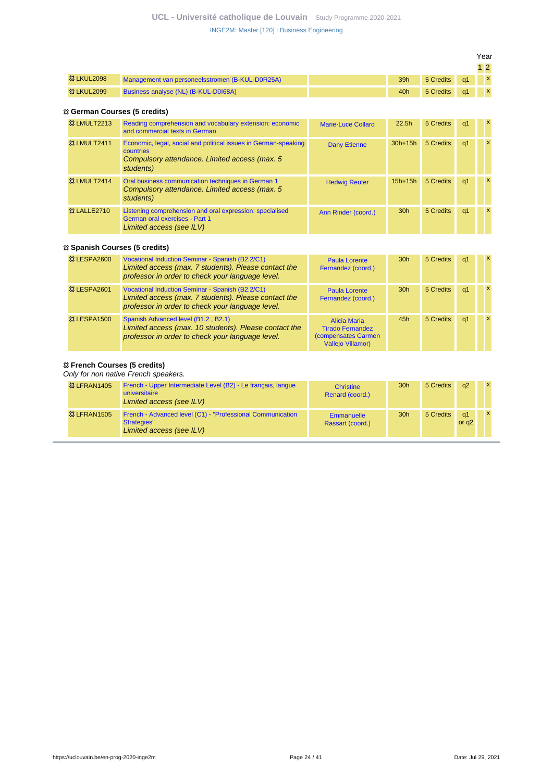# **UCL - Université catholique de Louvain** [Study Programme 2020-2021](https://uclouvain.be/en/study-programme)

| INGE2M: Master [120]: Business Engineering |  |  |  |
|--------------------------------------------|--|--|--|
|--------------------------------------------|--|--|--|

|                        |                                                 |     |           |           | Year |              |
|------------------------|-------------------------------------------------|-----|-----------|-----------|------|--------------|
|                        |                                                 |     |           |           |      |              |
| <b>&amp;3 LKUL2098</b> | Management van personeelsstromen (B-KUL-D0R25A) | 39h | 5 Credits | <b>a1</b> |      | $\mathbf{x}$ |
| <b>&amp;3 LKUL2099</b> | Business analyse (NL) (B-KUL-D0168A)            | 40h | 5 Credits | q1        |      | $\mathbf{x}$ |

#### **German Courses (5 credits)**

| <b>&amp;3 LMULT2213</b> | Reading comprehension and vocabulary extension: economic<br>and commercial texts in German                                                 | Marie-Luce Collard   | 22.5 <sub>h</sub> | 5 Credits | q1 | $\mathbf{x}$ |
|-------------------------|--------------------------------------------------------------------------------------------------------------------------------------------|----------------------|-------------------|-----------|----|--------------|
| <b>&amp;3 LMULT2411</b> | Economic, legal, social and political issues in German-speaking<br>countries<br>Compulsory attendance. Limited access (max. 5<br>students) | <b>Dany Etienne</b>  | $30h+15h$         | 5 Credits | q1 | $\mathbf{x}$ |
| <b>&amp;3 LMULT2414</b> | Oral business communication techniques in German 1<br>Compulsory attendance. Limited access (max. 5<br>students)                           | <b>Hedwig Reuter</b> | $15h+15h$         | 5 Credits | q1 | $\mathbf{x}$ |
| <b>&amp; LALLE2710</b>  | Listening comprehension and oral expression: specialised<br>German oral exercises - Part 1<br>Limited access (see ILV)                     | Ann Rinder (coord.)  | 30h               | 5 Credits | q1 | $\mathbf{x}$ |

### **Spanish Courses (5 credits)**

| <b>&amp; LESPA2600</b> | Vocational Induction Seminar - Spanish (B2.2/C1)<br>Limited access (max. 7 students). Please contact the<br>professor in order to check your language level. | Paula Lorente<br>Fernandez (coord.)                                                         | 30 <sub>h</sub> | 5 Credits | q1 | X |
|------------------------|--------------------------------------------------------------------------------------------------------------------------------------------------------------|---------------------------------------------------------------------------------------------|-----------------|-----------|----|---|
| <b>&amp; LESPA2601</b> | Vocational Induction Seminar - Spanish (B2.2/C1)<br>Limited access (max. 7 students). Please contact the<br>professor in order to check your language level. | Paula Lorente<br>Fernandez (coord.)                                                         | 30 <sub>h</sub> | 5 Credits | q1 | x |
| <b>&amp; LESPA1500</b> | Spanish Advanced level (B1.2, B2.1)<br>Limited access (max. 10 students). Please contact the<br>professor in order to check your language level.             | Alicia Maria<br><b>Tirado Fernandez</b><br>(compensates Carmen)<br><b>Vallejo Villamor)</b> | 45h             | 5 Credits | q1 |   |

#### **French Courses (5 credits)**

Only for non native French speakers.

| <b>&amp; LFRAN1405</b> | French - Upper Intermediate Level (B2) - Le français, langue<br>universitaire<br>Limited access (see ILV) | <b>Christine</b><br>Renard (coord.)   | 30h             | 5 Credits | a2                        |  |
|------------------------|-----------------------------------------------------------------------------------------------------------|---------------------------------------|-----------------|-----------|---------------------------|--|
| <b>&amp; LFRAN1505</b> | French - Advanced level (C1) - "Professional Communication<br>Strategies"<br>Limited access (see ILV)     | <b>Emmanuelle</b><br>Rassart (coord.) | 30 <sub>h</sub> | 5 Credits | q <sub>1</sub><br>or $q2$ |  |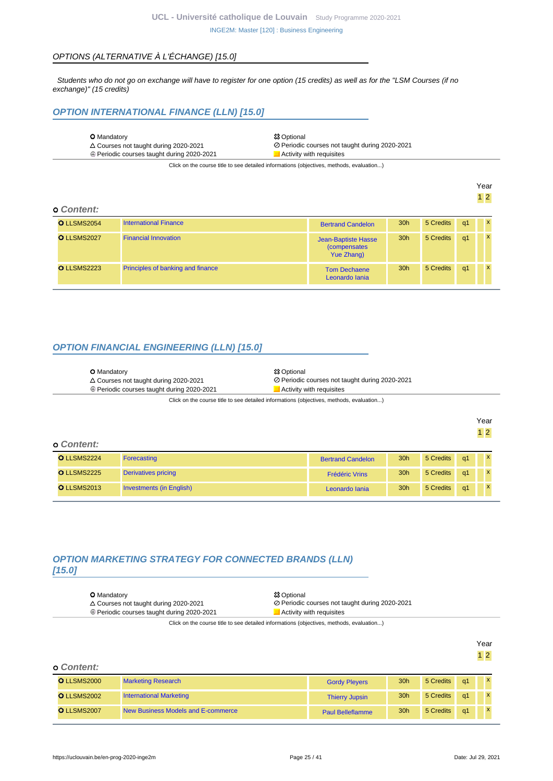# OPTIONS (ALTERNATIVE À L'ÉCHANGE) [15.0]

Students who do not go on exchange will have to register for one option (15 credits) as well as for the "LSM Courses (if no exchange)" (15 credits)

# **OPTION INTERNATIONAL FINANCE (LLN) [15.0]**

| <b>O</b> Mandatory                              | <b>83 Optional</b>                             |
|-------------------------------------------------|------------------------------------------------|
| $\triangle$ Courses not taught during 2020-2021 | ⊘ Periodic courses not taught during 2020-2021 |
| ⊕ Periodic courses taught during 2020-2021      | Activity with requisites                       |

Click on the course title to see detailed informations (objectives, methods, evaluation...)

| <b>o</b> Content:  |                                   |                                                           |                 |           |    | Year<br>1 <sup>2</sup> |  |
|--------------------|-----------------------------------|-----------------------------------------------------------|-----------------|-----------|----|------------------------|--|
| O LLSMS2054        | <b>International Finance</b>      | <b>Bertrand Candelon</b>                                  | 30 <sub>h</sub> | 5 Credits | q1 | $\mathbf{x}$           |  |
| O LLSMS2027        | <b>Financial Innovation</b>       | Jean-Baptiste Hasse<br><i>(compensates)</i><br>Yue Zhang) | 30 <sub>h</sub> | 5 Credits | q1 | $\mathbf{x}$           |  |
| <b>O</b> LLSMS2223 | Principles of banking and finance | <b>Tom Dechaene</b><br>Leonardo lania                     | 30h             | 5 Credits | q1 | $\mathbf{x}$           |  |

# **OPTION FINANCIAL ENGINEERING (LLN) [15.0]**

| <b>O</b> Mandatory                                | <b>83 Optional</b>                             |
|---------------------------------------------------|------------------------------------------------|
| $\triangle$ Courses not taught during 2020-2021   | ⊘ Periodic courses not taught during 2020-2021 |
| $\oplus$ Periodic courses taught during 2020-2021 | Activity with requisites                       |
|                                                   |                                                |

Click on the course title to see detailed informations (objectives, methods, evaluation...)

Year 1 2

#### **Content:**

| O LLSMS2224        | Forecasting              | <b>Bertrand Candelon</b> | 30 <sub>h</sub> | 5 Credits | -a1        |  |
|--------------------|--------------------------|--------------------------|-----------------|-----------|------------|--|
| <b>O</b> LLSMS2225 | Derivatives pricing      | <b>Frédéric Vrins</b>    | 30 <sub>h</sub> | 5 Credits | $\alpha$ 1 |  |
| O LLSMS2013        | Investments (in English) | Leonardo lania           | 30 <sub>h</sub> | 5 Credits | $\alpha$ 1 |  |

# **OPTION MARKETING STRATEGY FOR CONNECTED BRANDS (LLN) [15.0]**

| <sup>3</sup> Optional<br><b>O</b> Mandatory<br>$\triangle$ Courses not taught during 2020-2021<br>⊕ Periodic courses taught during 2020-2021<br>Activity with requisites | ⊘ Periodic courses not taught during 2020-2021 |
|--------------------------------------------------------------------------------------------------------------------------------------------------------------------------|------------------------------------------------|
|--------------------------------------------------------------------------------------------------------------------------------------------------------------------------|------------------------------------------------|

Click on the course title to see detailed informations (objectives, methods, evaluation...)

 **Content:**

| O LLSMS2000 | <b>Marketing Research</b>          | <b>Gordy Pleyers</b>    | 30 <sub>h</sub> | 5 Credits | q1 |  |
|-------------|------------------------------------|-------------------------|-----------------|-----------|----|--|
| O LLSMS2002 | <b>International Marketing</b>     | <b>Thierry Jupsin</b>   | 30 <sub>h</sub> | 5 Credits | q1 |  |
| O LLSMS2007 | New Business Models and E-commerce | <b>Paul Belleflamme</b> | 30 <sub>h</sub> | 5 Credits | q1 |  |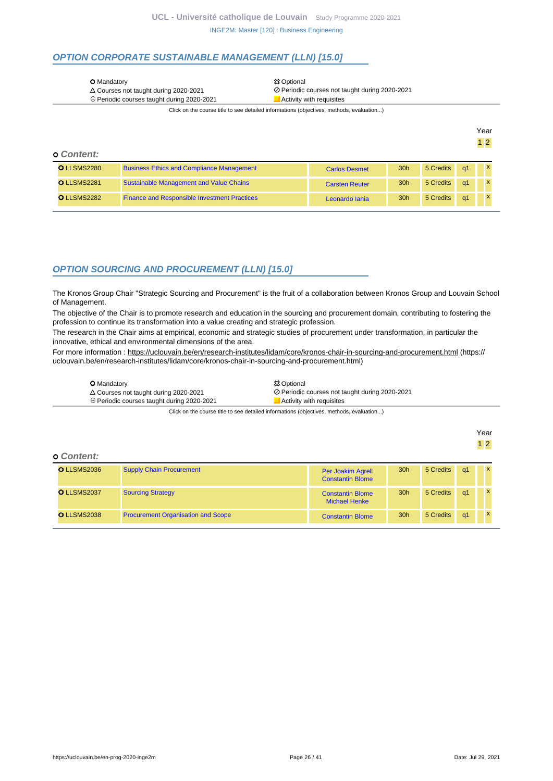# **OPTION CORPORATE SUSTAINABLE MANAGEMENT (LLN) [15.0]**

| ⊘ Periodic courses not taught during 2020-2021<br>$\triangle$ Courses not taught during 2020-2021 |  |
|---------------------------------------------------------------------------------------------------|--|
|                                                                                                   |  |
| ⊕ Periodic courses taught during 2020-2021<br>Activity with requisites                            |  |

Click on the course title to see detailed informations (objectives, methods, evaluation...)

### **Content:**

| $\mathsf{v}\mathsf{v}$ untur |                                                     |                       |                 |           |            |  |
|------------------------------|-----------------------------------------------------|-----------------------|-----------------|-----------|------------|--|
| O LLSMS2280                  | <b>Business Ethics and Compliance Management</b>    | <b>Carlos Desmet</b>  | 30 <sub>h</sub> | 5 Credits | -a1        |  |
| O LLSMS2281                  | <b>Sustainable Management and Value Chains</b>      | <b>Carsten Reuter</b> | 30 <sub>h</sub> | 5 Credits | q1         |  |
| <b>O</b> LLSMS2282           | <b>Finance and Responsible Investment Practices</b> | Leonardo lania        | 30 <sub>h</sub> | 5 Credits | $\alpha$ 1 |  |

# **OPTION SOURCING AND PROCUREMENT (LLN) [15.0]**

The Kronos Group Chair "Strategic Sourcing and Procurement" is the fruit of a collaboration between Kronos Group and Louvain School of Management.

The objective of the Chair is to promote research and education in the sourcing and procurement domain, contributing to fostering the profession to continue its transformation into a value creating and strategic profession.

The research in the Chair aims at empirical, economic and strategic studies of procurement under transformation, in particular the innovative, ethical and environmental dimensions of the area.

For more information : https://uclouvain.be/en/research-institutes/lidam/core/kronos-chair-in-sourcing-and-procurement.html (https:// uclouvain.be/en/research-institutes/lidam/core/kronos-chair-in-sourcing-and-procurement.html)

| <b>O</b> Mandatory                                | <b>83 Optional</b>                             |
|---------------------------------------------------|------------------------------------------------|
| $\triangle$ Courses not taught during 2020-2021   | ⊘ Periodic courses not taught during 2020-2021 |
| $\oplus$ Periodic courses taught during 2020-2021 | Activity with requisites                       |

Click on the course title to see detailed informations (objectives, methods, evaluation...)

|                   |                                           |                                                 |                 |           |    | Year<br>1 <sup>2</sup> |
|-------------------|-------------------------------------------|-------------------------------------------------|-----------------|-----------|----|------------------------|
| <b>o</b> Content: |                                           |                                                 |                 |           |    |                        |
| O LLSMS2036       | <b>Supply Chain Procurement</b>           | Per Joakim Agrell<br><b>Constantin Blome</b>    | 30 <sub>h</sub> | 5 Credits | q1 | $\mathbf{x}$           |
| O LLSMS2037       | <b>Sourcing Strategy</b>                  | <b>Constantin Blome</b><br><b>Michael Henke</b> | 30 <sub>h</sub> | 5 Credits | q1 | $\mathbf{x}$           |
| O LLSMS2038       | <b>Procurement Organisation and Scope</b> | <b>Constantin Blome</b>                         | 30 <sub>h</sub> | 5 Credits | q1 | $\mathbf{x}$           |

Year 1 2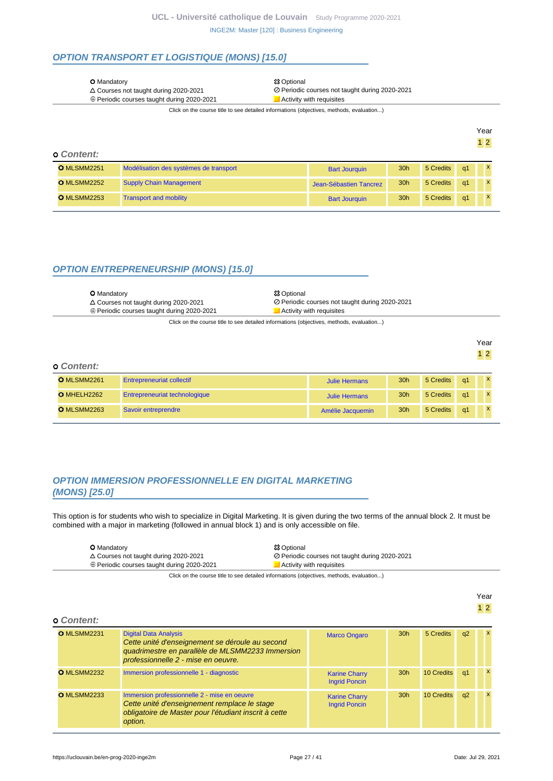# **OPTION TRANSPORT ET LOGISTIQUE (MONS) [15.0]**

| <b>O</b> Mandatory                              | <b>83 Optional</b>                             |
|-------------------------------------------------|------------------------------------------------|
| $\triangle$ Courses not taught during 2020-2021 | ⊘ Periodic courses not taught during 2020-2021 |
| ⊕ Periodic courses taught during 2020-2021      | Activity with requisites                       |
|                                                 |                                                |

Click on the course title to see detailed informations (objectives, methods, evaluation...)

|  | э<br>×<br>٠ |  |
|--|-------------|--|
|  |             |  |

1 2

| <b>o</b> Content:  |                                        |                        |                 |           |                |              |
|--------------------|----------------------------------------|------------------------|-----------------|-----------|----------------|--------------|
| <b>O</b> MLSMM2251 | Modélisation des systèmes de transport | <b>Bart Jourquin</b>   | 30 <sub>h</sub> | 5 Credits | q1             | $\mathbf{x}$ |
| O MLSMM2252        | <b>Supply Chain Management</b>         | Jean-Sébastien Tancrez | 30 <sub>h</sub> | 5 Credits | q1             |              |
| O MLSMM2253        | <b>Transport and mobility</b>          | <b>Bart Jourquin</b>   | 30 <sub>h</sub> | 5 Credits | q <sub>1</sub> |              |

# **OPTION ENTREPRENEURSHIP (MONS) [15.0]**

| <b>O</b> Mandatory                              | <b>83 Optional</b>                                                                       |      |
|-------------------------------------------------|------------------------------------------------------------------------------------------|------|
| $\triangle$ Courses not taught during 2020-2021 | ⊘ Periodic courses not taught during 2020-2021                                           |      |
| ⊕ Periodic courses taught during 2020-2021      | Activity with requisites                                                                 |      |
|                                                 | Click on the course title to see detailed informations (objectives, methods, evaluation) |      |
|                                                 |                                                                                          | Year |

| <b>o</b> Content:  |                                  |                      |                 |           |                |  |
|--------------------|----------------------------------|----------------------|-----------------|-----------|----------------|--|
| <b>O</b> MLSMM2261 | <b>Entrepreneuriat collectif</b> | <b>Julie Hermans</b> | 30 <sub>h</sub> | 5 Credits | $\alpha$ 1     |  |
| O MHELH2262        | Entrepreneuriat technologique    | <b>Julie Hermans</b> | 30 <sub>h</sub> | 5 Credits | q <sub>1</sub> |  |
| O MLSMM2263        | Savoir entreprendre              | Amélie Jacquemin     | 30 <sub>h</sub> | 5 Credits | q <sub>1</sub> |  |

# **OPTION IMMERSION PROFESSIONNELLE EN DIGITAL MARKETING (MONS) [25.0]**

This option is for students who wish to specialize in Digital Marketing. It is given during the two terms of the annual block 2. It must be combined with a major in marketing (followed in annual block 1) and is only accessible on file.

| <b>83 Optional</b><br><b>O</b> Mandatory<br>⊘ Periodic courses not taught during 2020-2021<br>$\triangle$ Courses not taught during 2020-2021<br>$\oplus$ Periodic courses taught during 2020-2021<br>Activity with requisites |  |  |  |
|--------------------------------------------------------------------------------------------------------------------------------------------------------------------------------------------------------------------------------|--|--|--|
|--------------------------------------------------------------------------------------------------------------------------------------------------------------------------------------------------------------------------------|--|--|--|

Click on the course title to see detailed informations (objectives, methods, evaluation...)

|  | Year |
|--|------|
|  |      |

# **Content:**

| o content:         |                                                                                                                                                                            |                                              |                 |            |    |              |
|--------------------|----------------------------------------------------------------------------------------------------------------------------------------------------------------------------|----------------------------------------------|-----------------|------------|----|--------------|
| <b>O</b> MLSMM2231 | <b>Digital Data Analysis</b><br>Cette unité d'enseignement se déroule au second<br>quadrimestre en parallèle de MLSMM2233 Immersion<br>professionnelle 2 - mise en oeuvre. | <b>Marco Ongaro</b>                          | 30 <sub>h</sub> | 5 Credits  | q2 | $\mathbf{x}$ |
| <b>O</b> MLSMM2232 | Immersion professionnelle 1 - diagnostic                                                                                                                                   | <b>Karine Charry</b><br><b>Ingrid Poncin</b> | 30 <sub>h</sub> | 10 Credits | q1 | $\mathbf{x}$ |
| O MLSMM2233        | Immersion professionnelle 2 - mise en oeuvre<br>Cette unité d'enseignement remplace le stage<br>obligatoire de Master pour l'étudiant inscrit à cette<br>option.           | <b>Karine Charry</b><br><b>Ingrid Poncin</b> | 30 <sub>h</sub> | 10 Credits | q2 | $\mathbf{x}$ |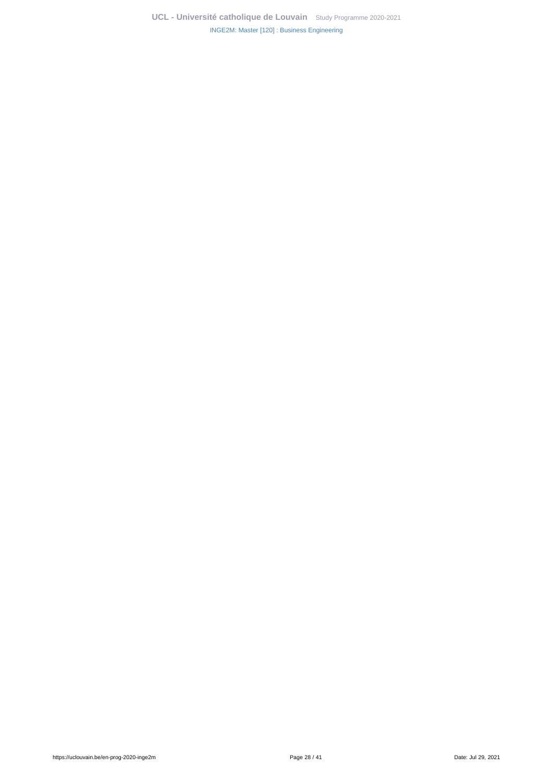**UCL - Université catholique de Louvain** [Study Programme 2020-2021](https://uclouvain.be/en/study-programme) [INGE2M: Master \[120\] : Business Engineering](https://uclouvain.be/en-prog-2020-inge2m.html)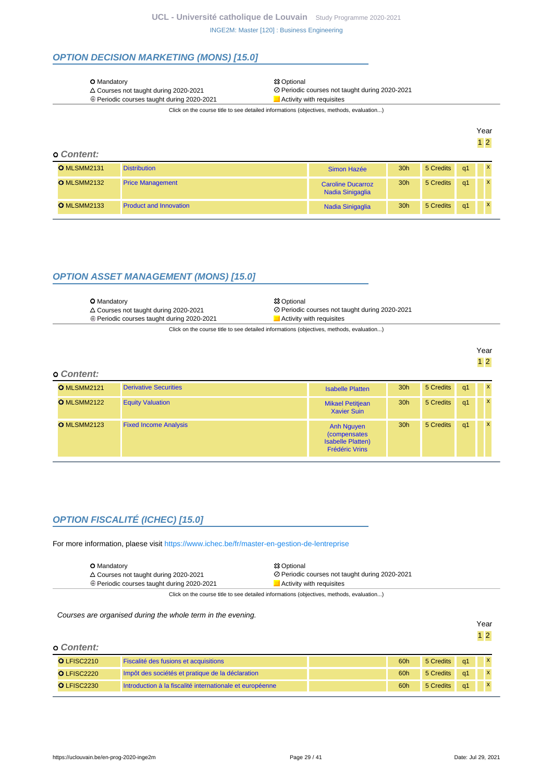# **OPTION DECISION MARKETING (MONS) [15.0]**

| <b>O</b> Mandatory |
|--------------------|
|                    |

- 
- $\oplus$  Periodic courses taught during 2020-2021

**惢 Optional** △ Courses not taught during 2020-2021 <br>
⊕ Periodic courses taught during 2020-2021 <br>
Periodic courses taught during 2020-2021 <br>
■ Activity with requisites

Click on the course title to see detailed informations (objectives, methods, evaluation...)

| <b>O</b> MLSMM2131 | <b>Distribution</b>           | Simon Hazée                                  | 30 <sub>h</sub> | 5 Credits | q1 |  |
|--------------------|-------------------------------|----------------------------------------------|-----------------|-----------|----|--|
| O MLSMM2132        | <b>Price Management</b>       | <b>Caroline Ducarroz</b><br>Nadia Sinigaglia | 30 <sub>h</sub> | 5 Credits | q1 |  |
| O MLSMM2133        | <b>Product and Innovation</b> | Nadia Sinigaglia                             | 30 <sub>h</sub> | 5 Credits | q1 |  |

# **OPTION ASSET MANAGEMENT (MONS) [15.0]**

| <b>O</b> Mandatory<br>$\triangle$ Courses not taught during 2020-2021<br>⊕ Periodic courses taught during 2020-2021 |                                                                                          | <b>83 Optional</b><br>⊘ Periodic courses not taught during 2020-2021<br>$\Box$ Activity with requisites |                 |           |    |                        |
|---------------------------------------------------------------------------------------------------------------------|------------------------------------------------------------------------------------------|---------------------------------------------------------------------------------------------------------|-----------------|-----------|----|------------------------|
| <b>o</b> Content:                                                                                                   | Click on the course title to see detailed informations (objectives, methods, evaluation) |                                                                                                         |                 |           |    | Year<br>1 <sup>2</sup> |
| <b>O</b> MLSMM2121                                                                                                  | <b>Derivative Securities</b>                                                             | <b>Isabelle Platten</b>                                                                                 | 30h             | 5 Credits | q1 |                        |
| <b>O</b> MLSMM2122                                                                                                  | <b>Equity Valuation</b>                                                                  | <b>Mikael Petitjean</b><br><b>Xavier Suin</b>                                                           | 30 <sub>h</sub> | 5 Credits | q1 |                        |
| <b>O</b> MLSMM2123                                                                                                  | <b>Fixed Income Analysis</b>                                                             | <b>Anh Nguyen</b><br>(compensates<br><b>Isabelle Platten)</b><br><b>Frédéric Vrins</b>                  | 30 <sub>h</sub> | 5 Credits | q1 | х                      |

# **OPTION FISCALITÉ (ICHEC) [15.0]**

For more information, plaese visit<https://www.ichec.be/fr/master-en-gestion-de-lentreprise>

| ⊘ Periodic courses not taught during 2020-2021<br>$\triangle$ Courses not taught during 2020-2021<br>$\oplus$ Periodic courses taught during 2020-2021<br>Activity with requisites |
|------------------------------------------------------------------------------------------------------------------------------------------------------------------------------------|
|------------------------------------------------------------------------------------------------------------------------------------------------------------------------------------|

Click on the course title to see detailed informations (objectives, methods, evaluation...)

Courses are organised during the whole term in the evening.

|                    |                                                          |     |           |                | Year<br>1 2  |
|--------------------|----------------------------------------------------------|-----|-----------|----------------|--------------|
| <b>o</b> Content:  |                                                          |     |           |                |              |
| <b>O LFISC2210</b> | Fiscalité des fusions et acquisitions                    | 60h | 5 Credits | $\alpha$ 1     | $\mathbf{x}$ |
| O LFISC2220        | Impôt des sociétés et pratique de la déclaration         | 60h | 5 Credits | $\alpha$ 1     | $\mathbf{x}$ |
| <b>O</b> LFISC2230 | Introduction à la fiscalité internationale et européenne | 60h | 5 Credits | q <sub>1</sub> | $\mathbf{x}$ |

Year 1 2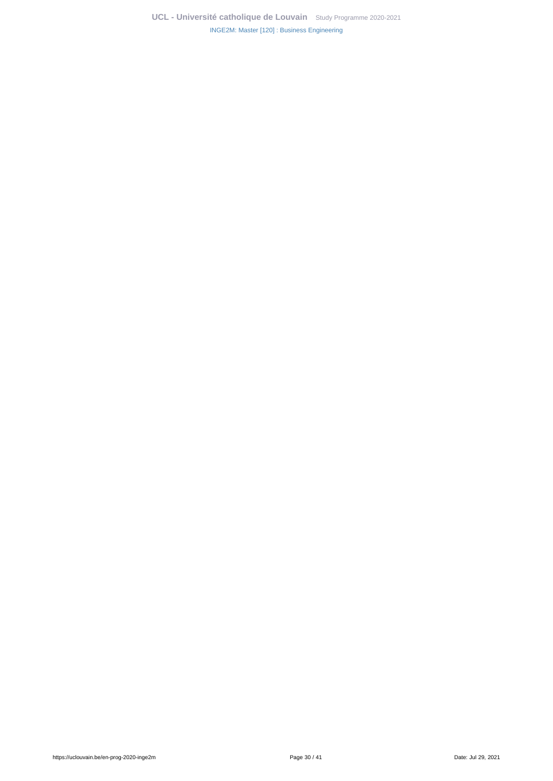**UCL - Université catholique de Louvain** [Study Programme 2020-2021](https://uclouvain.be/en/study-programme) [INGE2M: Master \[120\] : Business Engineering](https://uclouvain.be/en-prog-2020-inge2m.html)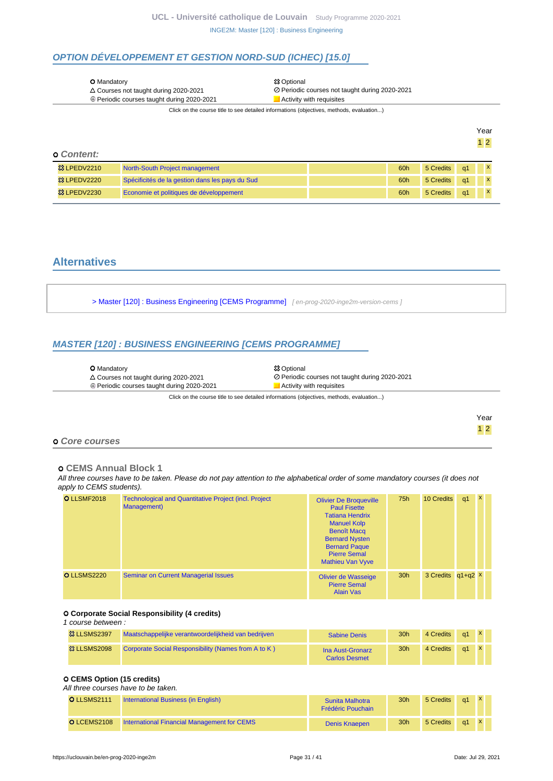# **OPTION DÉVELOPPEMENT ET GESTION NORD-SUD (ICHEC) [15.0]**

| <b>O</b> Mandatory                                | <b>83 Optional</b>                             |
|---------------------------------------------------|------------------------------------------------|
| $\triangle$ Courses not taught during 2020-2021   | ⊘ Periodic courses not taught during 2020-2021 |
| $\oplus$ Periodic courses taught during 2020-2021 | Activity with requisites                       |

Click on the course title to see detailed informations (objectives, methods, evaluation...)

| eя<br>ı |
|---------|
|         |

Year 1 2

| o Content:             |                                                 |     |           |      |  |
|------------------------|-------------------------------------------------|-----|-----------|------|--|
| <b>83 LPEDV2210</b>    | North-South Project management                  | 60h | 5 Credits | q1   |  |
| <b>83 LPEDV2220</b>    | Spécificités de la gestion dans les pays du Sud | 60h | 5 Credits | - a1 |  |
| <b>&amp; LPEDV2230</b> | Economie et politiques de développement         | 60h | 5 Credits | q1   |  |

# <span id="page-30-0"></span>**Alternatives**

[> Master \[120\] : Business Engineering \[CEMS Programme\]](en-prog-2020-inge2m-version-cems) [ en-prog-2020-inge2m-version-cems ]

# **MASTER [120] : BUSINESS ENGINEERING [CEMS PROGRAMME]**

| <b>O</b> Mandatory |
|--------------------|
|                    |

 $\oplus$  Periodic courses taught during 2020-2021 <br>Activity with requisites

**83 Optional** Courses not taught during 2020-2021 Periodic courses not taught during 2020-2021

Click on the course title to see detailed informations (objectives, methods, evaluation...)

### **Core courses**

### **CEMS Annual Block 1**

All three courses have to be taken. Please do not pay attention to the alphabetical order of some mandatory courses (it does not apply to CEMS students).

| O LLSMF2018 | <b>Technological and Quantitative Project (incl. Project)</b><br>Management) | <b>Olivier De Broqueville</b><br><b>Paul Fisette</b><br><b>Tatiana Hendrix</b><br><b>Manuel Kolp</b><br><b>Benoît Macq</b><br><b>Bernard Nysten</b><br><b>Bernard Paque</b><br><b>Pierre Semal</b><br><b>Mathieu Van Vyve</b> | 75h             | 10 Credits        | q1 | $\mathsf{x}$ |  |
|-------------|------------------------------------------------------------------------------|-------------------------------------------------------------------------------------------------------------------------------------------------------------------------------------------------------------------------------|-----------------|-------------------|----|--------------|--|
| O LLSMS2220 | <b>Seminar on Current Managerial Issues</b>                                  | <b>Olivier de Wasseige</b><br><b>Pierre Semal</b><br><b>Alain Vas</b>                                                                                                                                                         | 30 <sub>h</sub> | 3 Credits q1+q2 X |    |              |  |

#### **Corporate Social Responsibility (4 credits)**

1 course between :

| <b>&amp;3 LLSMS2397</b> | Maatschappelijke verantwoordelijkheid van bedrijven | <b>Sabine Denis</b>                      | 30 <sub>h</sub> | 4 Credits | a1         |  |
|-------------------------|-----------------------------------------------------|------------------------------------------|-----------------|-----------|------------|--|
| <b>&amp;3 LLSMS2098</b> | Corporate Social Responsibility (Names from A to K) | Ina Aust-Gronarz<br><b>Carlos Desmet</b> | 30 <sub>h</sub> | 4 Credits | $\alpha$ 1 |  |

#### **CEMS Option (15 credits)** All three courses have to be taken.

| <b>O</b> LLSMS2111 | International Business (in English)         | Sunita Malhotra<br><b>Frédéric Pouchain</b> | 30h | 5 Credits | g1 |  |
|--------------------|---------------------------------------------|---------------------------------------------|-----|-----------|----|--|
| <b>O</b> LCEMS2108 | International Financial Management for CEMS | Denis Knaepen                               | 30h | 5 Credits | a1 |  |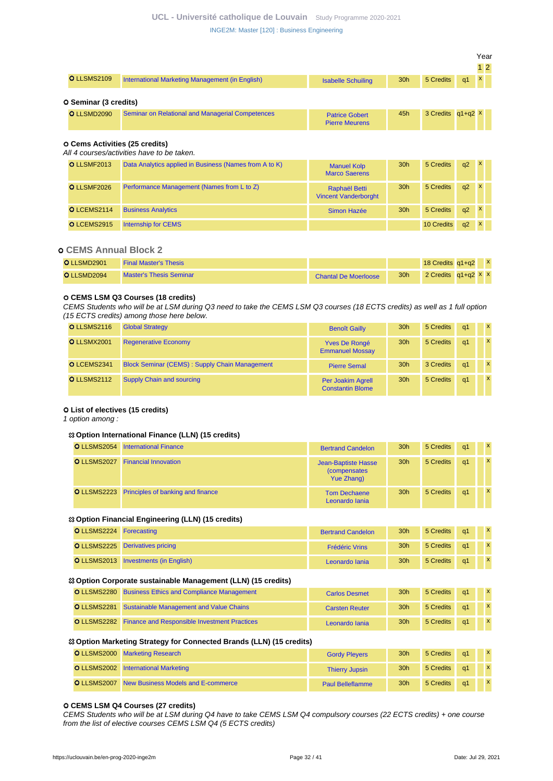[INGE2M: Master \[120\] : Business Engineering](https://uclouvain.be/en-prog-2020-inge2m.html)

|                                |                                                  |                                                |                 |                   |    | Year<br>1 <sup>2</sup> |  |
|--------------------------------|--------------------------------------------------|------------------------------------------------|-----------------|-------------------|----|------------------------|--|
| O LLSMS2109                    | International Marketing Management (in English)  | <b>Isabelle Schuiling</b>                      | 30 <sub>h</sub> | 5 Credits         | q1 | $\mathbf{x}$           |  |
| O Seminar (3 credits)          |                                                  |                                                |                 |                   |    |                        |  |
| O LLSMD2090                    | Seminar on Relational and Managerial Competences | <b>Patrice Gobert</b><br><b>Pierre Meurens</b> | 45h             | 3 Credits q1+q2 X |    |                        |  |
| O Cems Activities (25 credits) | All 4 courses/activities have to be taken.       |                                                |                 |                   |    |                        |  |

| O LLSMF2013 | Data Analytics applied in Business (Names from A to K) | <b>Manuel Kolp</b><br><b>Marco Saerens</b>          | 30 <sub>h</sub> | 5 Credits  | q2 | $\mathbf{x}$ |  |
|-------------|--------------------------------------------------------|-----------------------------------------------------|-----------------|------------|----|--------------|--|
| O LLSMF2026 | Performance Management (Names from L to Z)             | <b>Raphaël Betti</b><br><b>Vincent Vanderborght</b> | 30 <sub>h</sub> | 5 Credits  | q2 | $\mathbf{x}$ |  |
| O LCEMS2114 | <b>Business Analytics</b>                              | Simon Hazée                                         | 30 <sub>h</sub> | 5 Credits  | q2 | $\mathbf{x}$ |  |
| O LCEMS2915 | Internship for CEMS                                    |                                                     |                 | 10 Credits | q2 | $\mathsf{x}$ |  |

### **CEMS Annual Block 2**

| O LLSMD2901 | <b>Final Master's Thesis</b> |                             |                 | 18 Credits $q1+q2$ $x$     |  |  |
|-------------|------------------------------|-----------------------------|-----------------|----------------------------|--|--|
| O LLSMD2094 | Master's Thesis Seminar      | <b>Chantal De Moerloose</b> | 30 <sub>h</sub> | 2 Credits $q1+q2 \times x$ |  |  |

#### **CEMS LSM Q3 Courses (18 credits)**

CEMS Students who will be at LSM during Q3 need to take the CEMS LSM Q3 courses (18 ECTS credits) as well as 1 full option (15 ECTS credits) among those here below.

| O LLSMS2116 | <b>Global Strategy</b>                        | <b>Benoît Gailly</b>                           | 30 <sub>h</sub> | 5 Credits | -a1        | $\mathsf{x}$ |
|-------------|-----------------------------------------------|------------------------------------------------|-----------------|-----------|------------|--------------|
| O LLSMX2001 | <b>Regenerative Economy</b>                   | <b>Yves De Rongé</b><br><b>Emmanuel Mossay</b> | 30 <sub>h</sub> | 5 Credits | q1         | $\mathsf{x}$ |
| O LCEMS2341 | Block Seminar (CEMS): Supply Chain Management | <b>Pierre Semal</b>                            | 30 <sub>h</sub> | 3 Credits | $\alpha$ 1 | $\mathsf{x}$ |
| O LLSMS2112 | <b>Supply Chain and sourcing</b>              | Per Joakim Agrell<br><b>Constantin Blome</b>   | 30 <sub>h</sub> | 5 Credits | q1         | $\mathsf{x}$ |

#### **List of electives (15 credits)**

1 option among :

#### **Option International Finance (LLN) (15 credits)**

|  | <b>OLLSMS2054</b> International Finance             | <b>Bertrand Candelon</b>                                  | 30 <sub>h</sub> | 5 Credits | a1  | $\mathbf{x}$ |
|--|-----------------------------------------------------|-----------------------------------------------------------|-----------------|-----------|-----|--------------|
|  | <b>OLLSMS2027</b> Financial Innovation              | Jean-Baptiste Hasse<br><i>(compensates)</i><br>Yue Zhang) | 30 <sub>h</sub> | 5 Credits | q1  | $\mathbf{x}$ |
|  | <b>OLLSMS2223</b> Principles of banking and finance | <b>Tom Dechaene</b><br>Leonardo lania                     | 30 <sub>h</sub> | 5 Credits | -a1 | $\mathbf{x}$ |

#### **Option Financial Engineering (LLN) (15 credits)**

| <b>OLLSMS2224 Forecasting</b> |                                       | <b>Bertrand Candelon</b> | 30 <sub>h</sub> | 5 Credits | - a1 |  |
|-------------------------------|---------------------------------------|--------------------------|-----------------|-----------|------|--|
|                               | <b>OLLSMS2225</b> Derivatives pricing | <b>Frédéric Vrins</b>    | 30 <sub>h</sub> | 5 Credits | - a1 |  |
|                               | O LLSMS2013 Investments (in English)  | Leonardo lania           | 30 <sub>h</sub> | 5 Credits | a1   |  |

#### **Option Corporate sustainable Management (LLN) (15 credits)**

| <b>OLLSMS2280</b> Business Ethics and Compliance Management    | <b>Carlos Desmet</b>  | 30 <sub>h</sub> | 5 Credits | $\alpha$ 1 | $\mathbf{x}$ |
|----------------------------------------------------------------|-----------------------|-----------------|-----------|------------|--------------|
| <b>OLLSMS2281</b> Sustainable Management and Value Chains      | <b>Carsten Reuter</b> | 30 <sub>h</sub> | 5 Credits | - a1       | $\mathsf{x}$ |
| <b>OLLSMS2282</b> Finance and Responsible Investment Practices | Leonardo lania        | 30 <sub>h</sub> | 5 Credits | a1         | $\mathbf{x}$ |

#### **Option Marketing Strategy for Connected Brands (LLN) (15 credits)**

| <b>OLLSMS2000</b> Marketing Research                 | <b>Gordy Pleyers</b>    | 30 <sub>h</sub> | 5 Credits | - a1       | $\mathbf{x}$ |
|------------------------------------------------------|-------------------------|-----------------|-----------|------------|--------------|
| <b>OLLSMS2002</b> International Marketing            | <b>Thierry Jupsin</b>   | 30 <sub>h</sub> | 5 Credits | $\alpha$ 1 | $\mathsf{x}$ |
| <b>OLLSMS2007</b> New Business Models and E-commerce | <b>Paul Belleflamme</b> | 30h             | 5 Credits | a1         | $\mathbf{x}$ |

#### **CEMS LSM Q4 Courses (27 credits)**

CEMS Students who will be at LSM during Q4 have to take CEMS LSM Q4 compulsory courses (22 ECTS credits) + one course from the list of elective courses CEMS LSM Q4 (5 ECTS credits)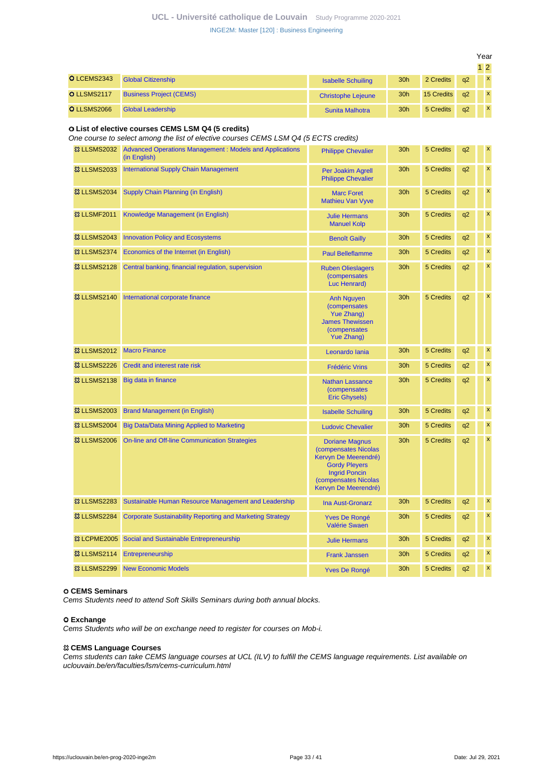# **UCL - Université catholique de Louvain** [Study Programme 2020-2021](https://uclouvain.be/en/study-programme) [INGE2M: Master \[120\] : Business Engineering](https://uclouvain.be/en-prog-2020-inge2m.html)

|             |                                |                           |                 |            |    | Year             |
|-------------|--------------------------------|---------------------------|-----------------|------------|----|------------------|
|             |                                |                           |                 |            |    | $1\vert 2 \vert$ |
| O LCEMS2343 | <b>Global Citizenship</b>      | <b>Isabelle Schuiling</b> | 30 <sub>h</sub> | 2 Credits  | q2 | $\mathbf{x}$     |
| O LLSMS2117 | <b>Business Project (CEMS)</b> | <b>Christophe Lejeune</b> | 30 <sub>h</sub> | 15 Credits | q2 | $\mathbf{x}$     |
| O LLSMS2066 | <b>Global Leadership</b>       | Sunita Malhotra           | 30 <sub>h</sub> | 5 Credits  | q2 | $\mathbf{x}$     |

### **List of elective courses CEMS LSM Q4 (5 credits)**

One course to select among the list of elective courses CEMS LSM Q4 (5 ECTS credits)

| <b>&amp; LLSMS2032</b>        | <b>Advanced Operations Management: Models and Applications</b><br>(in English) | <b>Philippe Chevalier</b>                                                                                                                                             | 30h             | 5 Credits        | q2             | X                         |
|-------------------------------|--------------------------------------------------------------------------------|-----------------------------------------------------------------------------------------------------------------------------------------------------------------------|-----------------|------------------|----------------|---------------------------|
| <b>&amp; LLSMS2033</b>        | <b>International Supply Chain Management</b>                                   | Per Joakim Agrell<br><b>Philippe Chevalier</b>                                                                                                                        | 30 <sub>h</sub> | 5 Credits        | q2             | $\boldsymbol{\mathsf{x}}$ |
| <b>&amp; LLSMS2034</b>        | Supply Chain Planning (in English)                                             | <b>Marc Foret</b><br><b>Mathieu Van Vyve</b>                                                                                                                          | 30h             | 5 Credits        | q2             | $\boldsymbol{\mathsf{x}}$ |
| <sup>3</sup> LLSMF2011        | Knowledge Management (in English)                                              | <b>Julie Hermans</b><br><b>Manuel Kolp</b>                                                                                                                            | 30h             | 5 Credits        | q2             | $\boldsymbol{\mathsf{x}}$ |
| <b>&amp; LLSMS2043</b>        | <b>Innovation Policy and Ecosystems</b>                                        | <b>Benoît Gailly</b>                                                                                                                                                  | 30 <sub>h</sub> | 5 Credits        | q2             | $\boldsymbol{\mathsf{x}}$ |
| <b>&amp; LLSMS2374</b>        | Economics of the Internet (in English)                                         | <b>Paul Belleflamme</b>                                                                                                                                               | 30h             | 5 Credits        | q2             | $\pmb{\mathsf{x}}$        |
| <b>惢 LLSMS2128</b>            | Central banking, financial regulation, supervision                             | <b>Ruben Olieslagers</b><br>(compensates<br>Luc Henrard)                                                                                                              | 30h             | 5 Credits        | q2             | $\pmb{\mathsf{x}}$        |
| <b>&amp; LLSMS2140</b>        | International corporate finance                                                | <b>Anh Nguyen</b><br>(compensates<br>Yue Zhang)<br><b>James Thewissen</b><br><i>(compensates</i><br>Yue Zhang)                                                        | 30h             | 5 Credits        | q2             | $\pmb{\times}$            |
| <b>&amp;3 LLSMS2012</b>       | <b>Macro Finance</b>                                                           | Leonardo lania                                                                                                                                                        | 30h             | <b>5 Credits</b> | q2             | $\pmb{\mathsf{x}}$        |
| <b>&amp; LLSMS2226</b>        | Credit and interest rate risk                                                  | <b>Frédéric Vrins</b>                                                                                                                                                 | 30h             | 5 Credits        | q2             | $\pmb{\mathsf{x}}$        |
| <b>&amp; LLSMS2138</b>        | Big data in finance                                                            | <b>Nathan Lassance</b><br><i>(compensates</i><br><b>Eric Ghysels)</b>                                                                                                 | 30 <sub>h</sub> | 5 Credits        | q2             | $\pmb{\mathsf{x}}$        |
| <b><sup>3</sup> LLSMS2003</b> | <b>Brand Management (in English)</b>                                           | <b>Isabelle Schuiling</b>                                                                                                                                             | 30h             | 5 Credits        | q <sub>2</sub> | $\boldsymbol{\mathsf{x}}$ |
| <b>&amp; LLSMS2004</b>        | <b>Big Data/Data Mining Applied to Marketing</b>                               | <b>Ludovic Chevalier</b>                                                                                                                                              | 30h             | 5 Credits        | q2             | $\pmb{\mathsf{x}}$        |
| <b>惢 LLSMS2006</b>            | On-line and Off-line Communication Strategies                                  | <b>Doriane Magnus</b><br>(compensates Nicolas<br>Kervyn De Meerendré)<br><b>Gordy Pleyers</b><br><b>Ingrid Poncin</b><br>(compensates Nicolas<br>Kervyn De Meerendré) | 30h             | <b>5 Credits</b> | q2             | $\pmb{\mathsf{x}}$        |
| <b>惢 LLSMS2283</b>            | Sustainable Human Resource Management and Leadership                           | <b>Ina Aust-Gronarz</b>                                                                                                                                               | 30h             | <b>5 Credits</b> | q2             | $\pmb{\mathsf{x}}$        |
| <b>23 LLSMS2284</b>           | <b>Corporate Sustainability Reporting and Marketing Strategy</b>               | <b>Yves De Rongé</b><br>Valérie Swaen                                                                                                                                 | 30h             | 5 Credits        | q2             | $\pmb{\mathsf{x}}$        |
| <b>&amp; LCPME2005</b>        | Social and Sustainable Entrepreneurship                                        | <b>Julie Hermans</b>                                                                                                                                                  | 30 <sub>h</sub> | 5 Credits        | q2             | $\boldsymbol{\mathsf{x}}$ |
| <b>&amp; LLSMS2114</b>        | Entrepreneurship                                                               | <b>Frank Janssen</b>                                                                                                                                                  | 30 <sub>h</sub> | 5 Credits        | q2             | $\pmb{\times}$            |
| <b>&amp; LLSMS2299</b>        | <b>New Economic Models</b>                                                     | <b>Yves De Rongé</b>                                                                                                                                                  | 30h             | 5 Credits        | q2             | $\pmb{\mathsf{x}}$        |

#### **CEMS Seminars**

Cems Students need to attend Soft Skills Seminars during both annual blocks.

#### **Exchange**

Cems Students who will be on exchange need to register for courses on Mob-i.

#### **CEMS Language Courses**

Cems students can take CEMS language courses at UCL (ILV) to fulfill the CEMS language requirements. List available on uclouvain.be/en/faculties/lsm/cems-curriculum.html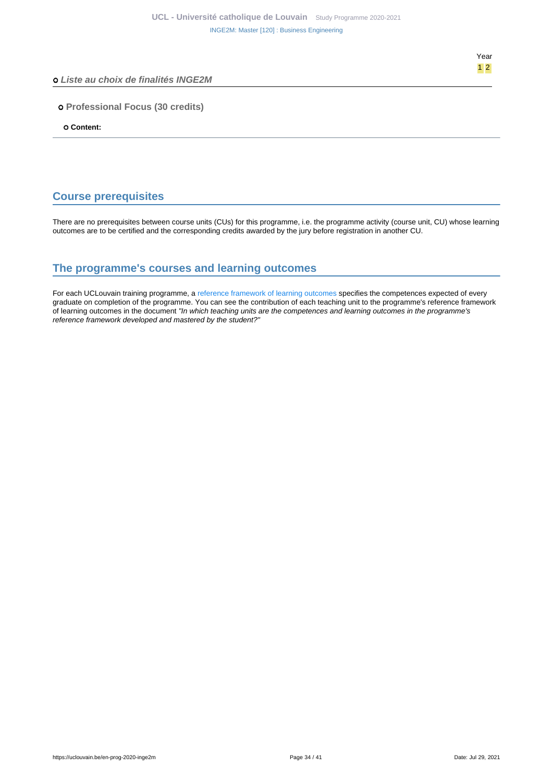#### **Professional Focus (30 credits)**

 **Content:**

# <span id="page-33-0"></span>**Course prerequisites**

There are no prerequisites between course units (CUs) for this programme, i.e. the programme activity (course unit, CU) whose learning outcomes are to be certified and the corresponding credits awarded by the jury before registration in another CU.

# <span id="page-33-1"></span>**The programme's courses and learning outcomes**

For each UCLouvain training programme, a [reference framework of learning outcomes](https://uclouvain.be/en-prog-2020-inge2m-competences_et_acquis.html) specifies the competences expected of every graduate on completion of the programme. You can see the contribution of each teaching unit to the programme's reference framework of learning outcomes in the document "In which teaching units are the competences and learning outcomes in the programme's reference framework developed and mastered by the student?"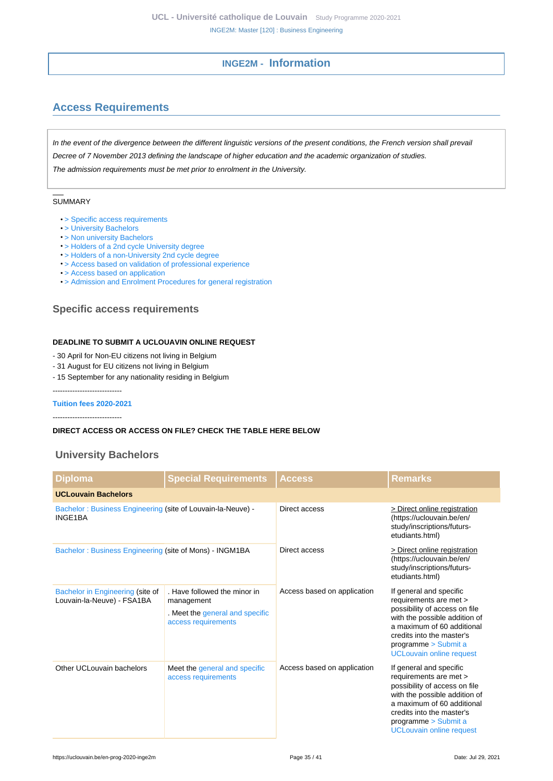# **INGE2M - Information**

# <span id="page-34-1"></span><span id="page-34-0"></span>**Access Requirements**

In the event of the divergence between the different linguistic versions of the present conditions, the French version shall prevail Decree of 7 November 2013 defining the landscape of higher education and the academic organization of studies. The admission requirements must be met prior to enrolment in the University.

### **SUMMARY**

- [> Specific access requirements](#page-34-2)
- [> University Bachelors](#page-34-3)
- [> Non university Bachelors](#page-35-0)
- [> Holders of a 2nd cycle University degree](#page-35-1)
- [> Holders of a non-University 2nd cycle degree](#page-36-0)
- [> Access based on validation of professional experience](#page-36-1)
- [> Access based on application](#page-36-2)
- [> Admission and Enrolment Procedures for general registration](#page-36-3)

### <span id="page-34-2"></span>**Specific access requirements**

### **DEADLINE TO SUBMIT A UCLOUAVIN ONLINE REQUEST**

- 30 April for Non-EU citizens not living in Belgium
- 31 August for EU citizens not living in Belgium
- 15 September for any nationality residing in Belgium

---------------------------- **[Tuition fees 2020-2021](https://uclouvain.be/en/study/inscriptions/tuition-fees.html)**

#### ----------------------------

### **DIRECT ACCESS OR ACCESS ON FILE? CHECK THE TABLE HERE BELOW**

# <span id="page-34-3"></span>**University Bachelors**

| <b>Diploma</b>                                                         | <b>Special Requirements</b>                                                                          | <b>Access</b>               | <b>Remarks</b>                                                                                                                                                                                                                            |
|------------------------------------------------------------------------|------------------------------------------------------------------------------------------------------|-----------------------------|-------------------------------------------------------------------------------------------------------------------------------------------------------------------------------------------------------------------------------------------|
| <b>UCLouvain Bachelors</b>                                             |                                                                                                      |                             |                                                                                                                                                                                                                                           |
| Bachelor: Business Engineering (site of Louvain-la-Neuve) -<br>INGE1BA |                                                                                                      | Direct access               | > Direct online registration<br>(https://uclouvain.be/en/<br>study/inscriptions/futurs-<br>etudiants.html)                                                                                                                                |
| Bachelor: Business Engineering (site of Mons) - INGM1BA                |                                                                                                      | Direct access               | > Direct online registration<br>(https://uclouvain.be/en/<br>study/inscriptions/futurs-<br>etudiants.html)                                                                                                                                |
| Bachelor in Engineering (site of<br>Louvain-la-Neuve) - FSA1BA         | . Have followed the minor in<br>management<br>. Meet the general and specific<br>access requirements | Access based on application | If general and specific<br>requirements are met ><br>possibility of access on file<br>with the possible addition of<br>a maximum of 60 additional<br>credits into the master's<br>programme > Submit a<br><b>UCLouvain online request</b> |
| Other UCLouvain bachelors                                              | Meet the general and specific<br>access requirements                                                 | Access based on application | If general and specific<br>requirements are met ><br>possibility of access on file<br>with the possible addition of<br>a maximum of 60 additional<br>credits into the master's<br>programme > Submit a<br><b>UCLouvain online request</b> |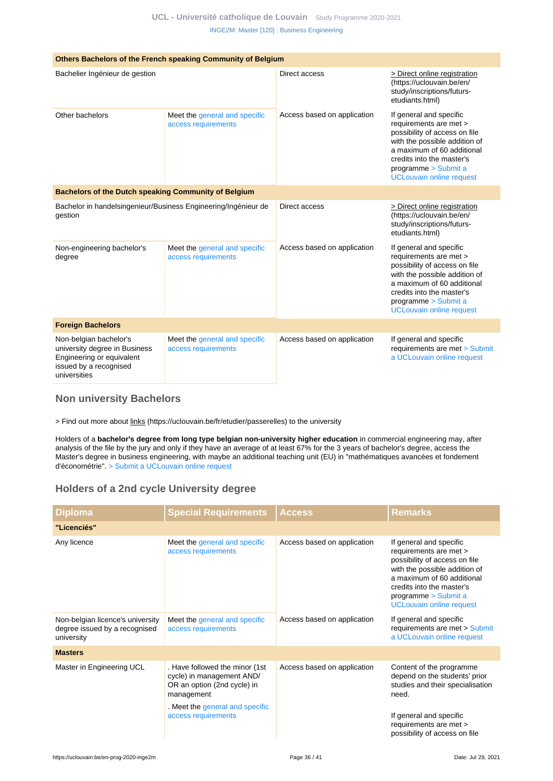| Others Bachelors of the French speaking Community of Belgium                                                                   |                                                      |                             |                                                                                                                                                                                                                                           |  |  |  |  |
|--------------------------------------------------------------------------------------------------------------------------------|------------------------------------------------------|-----------------------------|-------------------------------------------------------------------------------------------------------------------------------------------------------------------------------------------------------------------------------------------|--|--|--|--|
| Bachelier Ingénieur de gestion                                                                                                 |                                                      | Direct access               | > Direct online registration<br>(https://uclouvain.be/en/<br>study/inscriptions/futurs-<br>etudiants.html)                                                                                                                                |  |  |  |  |
| Other bachelors                                                                                                                | Meet the general and specific<br>access requirements |                             | If general and specific<br>requirements are met ><br>possibility of access on file<br>with the possible addition of<br>a maximum of 60 additional<br>credits into the master's<br>programme > Submit a<br><b>UCLouvain online request</b> |  |  |  |  |
| Bachelors of the Dutch speaking Community of Belgium                                                                           |                                                      |                             |                                                                                                                                                                                                                                           |  |  |  |  |
| Bachelor in handelsingenieur/Business Engineering/Ingénieur de<br>gestion                                                      |                                                      | Direct access               | > Direct online registration<br>(https://uclouvain.be/en/<br>study/inscriptions/futurs-<br>etudiants.html)                                                                                                                                |  |  |  |  |
| Non-engineering bachelor's<br>degree                                                                                           | Meet the general and specific<br>access requirements |                             | If general and specific<br>requirements are met ><br>possibility of access on file<br>with the possible addition of<br>a maximum of 60 additional<br>credits into the master's<br>programme > Submit a<br><b>UCLouvain online request</b> |  |  |  |  |
| <b>Foreign Bachelors</b>                                                                                                       |                                                      |                             |                                                                                                                                                                                                                                           |  |  |  |  |
| Non-belgian bachelor's<br>university degree in Business<br>Engineering or equivalent<br>issued by a recognised<br>universities | Meet the general and specific<br>access requirements | Access based on application | If general and specific<br>requirements are met > Submit<br>a UCLouvain online request                                                                                                                                                    |  |  |  |  |

# <span id="page-35-0"></span>**Non university Bachelors**

> Find out more about links (https://uclouvain.be/fr/etudier/passerelles) to the university

Holders of a **bachelor's degree from long type belgian non-university higher education** in commercial engineering may, after analysis of the file by the jury and only if they have an average of at least 67% for the 3 years of bachelor's degree, access the Master's degree in business engineering, with maybe an additional teaching unit (EU) in "mathématiques avancées et fondement d'économétrie". [> Submit a UCLouvain online request](https://uclouvain.be/en/study/inscriptions/futurs-etudiants.html)

# <span id="page-35-1"></span>**Holders of a 2nd cycle University degree**

| <b>Diploma</b>                                                                  | <b>Special Requirements</b>                                                                              | <b>Access</b>               | <b>Remarks</b>                                                                                                                                                                                                                            |
|---------------------------------------------------------------------------------|----------------------------------------------------------------------------------------------------------|-----------------------------|-------------------------------------------------------------------------------------------------------------------------------------------------------------------------------------------------------------------------------------------|
| "Licenciés"                                                                     |                                                                                                          |                             |                                                                                                                                                                                                                                           |
| Any licence                                                                     | Meet the general and specific<br>access requirements                                                     | Access based on application | If general and specific<br>requirements are met ><br>possibility of access on file<br>with the possible addition of<br>a maximum of 60 additional<br>credits into the master's<br>programme > Submit a<br><b>UCLouvain online request</b> |
| Non-belgian licence's university<br>degree issued by a recognised<br>university | Meet the general and specific<br>access requirements                                                     | Access based on application | If general and specific<br>requirements are met > Submit<br>a UCLouvain online request                                                                                                                                                    |
| <b>Masters</b>                                                                  |                                                                                                          |                             |                                                                                                                                                                                                                                           |
| Master in Engineering UCL                                                       | . Have followed the minor (1st<br>cycle) in management AND/<br>OR an option (2nd cycle) in<br>management | Access based on application | Content of the programme<br>depend on the students' prior<br>studies and their specialisation<br>need.                                                                                                                                    |
|                                                                                 | . Meet the general and specific<br>access requirements                                                   |                             | If general and specific<br>requirements are met ><br>possibility of access on file                                                                                                                                                        |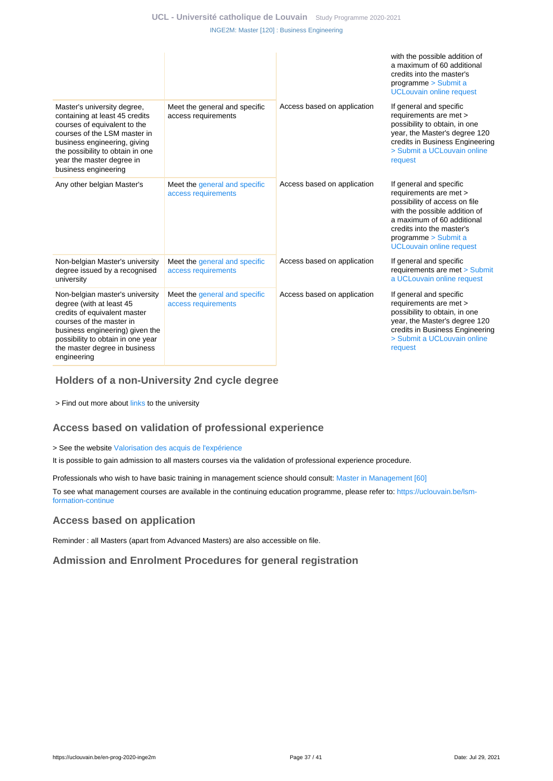|                                                                                                                                                                                                                                                        |                                                      |                             | with the possible addition of<br>a maximum of 60 additional<br>credits into the master's<br>programme > Submit a<br><b>UCLouvain online request</b>                                                                                       |
|--------------------------------------------------------------------------------------------------------------------------------------------------------------------------------------------------------------------------------------------------------|------------------------------------------------------|-----------------------------|-------------------------------------------------------------------------------------------------------------------------------------------------------------------------------------------------------------------------------------------|
| Master's university degree,<br>containing at least 45 credits<br>courses of equivalent to the<br>courses of the LSM master in<br>business engineering, giving<br>the possibility to obtain in one<br>year the master degree in<br>business engineering | Meet the general and specific<br>access requirements | Access based on application | If general and specific<br>requirements are met ><br>possibility to obtain, in one<br>year, the Master's degree 120<br>credits in Business Engineering<br>> Submit a UCLouvain online<br>request                                          |
| Any other belgian Master's                                                                                                                                                                                                                             | Meet the general and specific<br>access requirements | Access based on application | If general and specific<br>requirements are met ><br>possibility of access on file<br>with the possible addition of<br>a maximum of 60 additional<br>credits into the master's<br>programme > Submit a<br><b>UCLouvain online request</b> |
| Non-belgian Master's university<br>degree issued by a recognised<br>university                                                                                                                                                                         | Meet the general and specific<br>access requirements | Access based on application | If general and specific<br>requirements are met > Submit<br>a UCLouvain online request                                                                                                                                                    |
| Non-belgian master's university<br>degree (with at least 45<br>credits of equivalent master<br>courses of the master in<br>business engineering) given the<br>possibility to obtain in one year<br>the master degree in business<br>engineering        | Meet the general and specific<br>access requirements | Access based on application | If general and specific<br>requirements are met ><br>possibility to obtain, in one<br>year, the Master's degree 120<br>credits in Business Engineering<br>> Submit a UCLouvain online<br>request                                          |

# <span id="page-36-0"></span>**Holders of a non-University 2nd cycle degree**

> Find out more about [links](https://uclouvain.be/fr/etudier/passerelles) to the university

# <span id="page-36-1"></span>**Access based on validation of professional experience**

#### > See the website [Valorisation des acquis de l'expérience](https://uclouvain.be/fr/etudier/vae)

It is possible to gain admission to all masters courses via the validation of professional experience procedure.

Professionals who wish to have basic training in management science should consult: [Master in Management \[60\]](https://uclouvain.be/en-prog-2012-lgehd2m1.html)

To see what management courses are available in the continuing education programme, please refer to: [https://uclouvain.be/lsm](https://uclouvain.be/en-lsm-formation-continue)[formation-continue](https://uclouvain.be/en-lsm-formation-continue)

### <span id="page-36-2"></span>**Access based on application**

Reminder : all Masters (apart from Advanced Masters) are also accessible on file.

# <span id="page-36-3"></span>**Admission and Enrolment Procedures for general registration**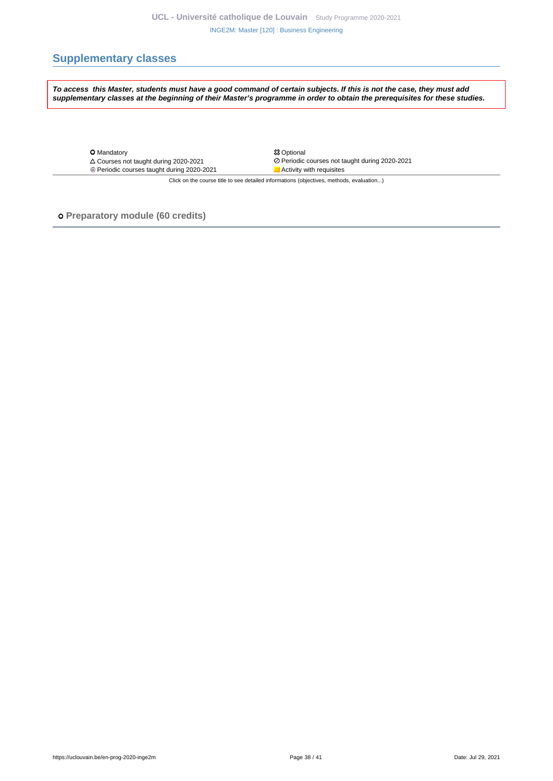# <span id="page-37-0"></span>**Supplementary classes**

**To access this Master, students must have a good command of certain subjects. If this is not the case, they must add supplementary classes at the beginning of their Master's programme in order to obtain the prerequisites for these studies.**

| <b>O</b> Mandatory                              |
|-------------------------------------------------|
| $\triangle$ Courses not taught during 2020-2021 |
| ⊕ Periodic courses taught during 2020-2021      |

<sup>8</sup> Optional Courses not taught during 2020-2021 Periodic courses not taught during 2020-2021  $\blacksquare$  Activity with requisites

Click on the course title to see detailed informations (objectives, methods, evaluation...)

 **Preparatory module (60 credits)**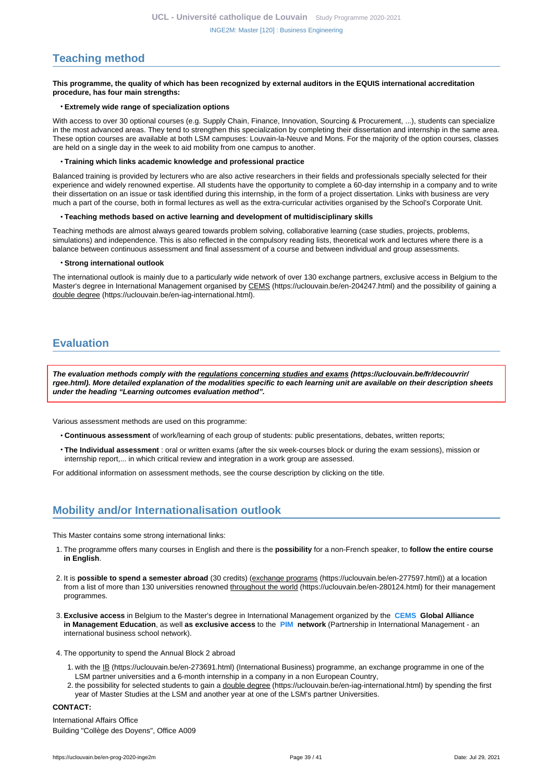# <span id="page-38-0"></span>**Teaching method**

#### **This programme, the quality of which has been recognized by external auditors in the EQUIS international accreditation procedure, has four main strengths:**

#### • **Extremely wide range of specialization options**

With access to over 30 optional courses (e.g. Supply Chain, Finance, Innovation, Sourcing & Procurement, ...), students can specialize in the most advanced areas. They tend to strengthen this specialization by completing their dissertation and internship in the same area. These option courses are available at both LSM campuses: Louvain-la-Neuve and Mons. For the majority of the option courses, classes are held on a single day in the week to aid mobility from one campus to another.

#### • **Training which links academic knowledge and professional practice**

Balanced training is provided by lecturers who are also active researchers in their fields and professionals specially selected for their experience and widely renowned expertise. All students have the opportunity to complete a 60-day internship in a company and to write their dissertation on an issue or task identified during this internship, in the form of a project dissertation. Links with business are very much a part of the course, both in formal lectures as well as the extra-curricular activities organised by the School's Corporate Unit.

#### • **Teaching methods based on active learning and development of multidisciplinary skills**

Teaching methods are almost always geared towards problem solving, collaborative learning (case studies, projects, problems, simulations) and independence. This is also reflected in the compulsory reading lists, theoretical work and lectures where there is a balance between continuous assessment and final assessment of a course and between individual and group assessments.

#### • **Strong international outlook**

The international outlook is mainly due to a particularly wide network of over 130 exchange partners, exclusive access in Belgium to the Master's degree in International Management organised by CEMS (https://uclouvain.be/en-204247.html) and the possibility of gaining a double degree (https://uclouvain.be/en-iag-international.html).

# <span id="page-38-1"></span>**Evaluation**

**The evaluation methods comply with the regulations concerning studies and exams (https://uclouvain.be/fr/decouvrir/ rgee.html). More detailed explanation of the modalities specific to each learning unit are available on their description sheets under the heading "Learning outcomes evaluation method".**

Various assessment methods are used on this programme:

- **Continuous assessment** of work/learning of each group of students: public presentations, debates, written reports;
- **The Individual assessment** : oral or written exams (after the six week-courses block or during the exam sessions), mission or internship report,... in which critical review and integration in a work group are assessed.

For additional information on assessment methods, see the course description by clicking on the title.

# <span id="page-38-2"></span>**Mobility and/or Internationalisation outlook**

This Master contains some strong international links:

- 1. The programme offers many courses in English and there is the **possibility** for a non-French speaker, to **follow the entire course in English**.
- 2. It is **possible to spend a semester abroad** (30 credits) (exchange programs (https://uclouvain.be/en-277597.html)) at a location from a list of more than 130 universities renowned throughout the world (https://uclouvain.be/en-280124.html) for their management programmes.
- 3. **Exclusive access** in Belgium to the Master's degree in International Management organized by the **[CEMS](http://cems.org) Global Alliance in Management Education**, as well **as exclusive access** to the **[PIM](http://www.pimnetwork.org) network** (Partnership in International Management - an international business school network).
- 4. The opportunity to spend the Annual Block 2 abroad
	- 1. with the IB (https://uclouvain.be/en-273691.html) (International Business) programme, an exchange programme in one of the LSM partner universities and a 6-month internship in a company in a non European Country,
	- 2. the possibility for selected students to gain a double degree (https://uclouvain.be/en-iag-international.html) by spending the first year of Master Studies at the LSM and another year at one of the LSM's partner Universities.

#### **CONTACT:**

International Affairs Office Building "Collège des Doyens", Office A009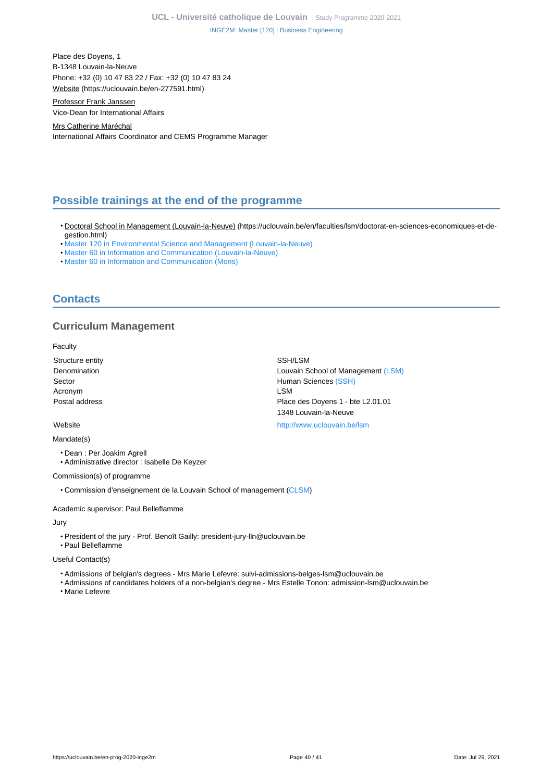Place des Doyens, 1 B-1348 Louvain-la-Neuve Phone: +32 (0) 10 47 83 22 / Fax: +32 (0) 10 47 83 24 Website (https://uclouvain.be/en-277591.html)

Professor Frank Janssen Vice-Dean for International Affairs

#### Mrs Catherine Maréchal

International Affairs Coordinator and CEMS Programme Manager

# <span id="page-39-0"></span>**Possible trainings at the end of the programme**

- Doctoral School in Management (Louvain-la-Neuve) (https://uclouvain.be/en/faculties/lsm/doctorat-en-sciences-economiques-et-degestion.html)
- [Master 120 in Environmental Science and Management \(Louvain-la-Neuve\)](https://uclouvain.be/prog-2019-envi2m)
- [Master 60 in Information and Communication \(Louvain-la-Neuve\)](https://uclouvain.be/prog-2019-comu2m1)
- [Master 60 in Information and Communication \(Mons\)](https://uclouvain.be/prog-2019-comm2m1)

# <span id="page-39-1"></span>**Contacts**

# **Curriculum Management**

Faculty

Structure entity Structure entity SSH/LSM Acronym LSM

Mandate(s)

- Dean : Per Joakim Agrell
- Administrative director : Isabelle De Keyzer

#### Commission(s) of programme

• Commission d'enseignement de la Louvain School of management [\(CLSM](https://uclouvain.be/fr/repertoires/entites/CLSM))

Academic supervisor: Paul Belleflamme

Jury

- President of the jury Prof. Benoît Gailly: president-jury-lln@uclouvain.be
- Paul Belleflamme

#### Useful Contact(s)

- Admissions of belgian's degrees Mrs Marie Lefevre: suivi-admissions-belges-lsm@uclouvain.be
- Admissions of candidates holders of a non-belgian's degree Mrs Estelle Tonon: admission-lsm@uclouvain.be
- Marie Lefevre

Denomination **Louvain School of Management** [\(LSM\)](https://uclouvain.be/repertoires/entites/lsm) Sector **Human Sciences** [\(SSH\)](https://uclouvain.be/repertoires/entites/ssh) Postal address **Place des Doyens 1 - bte L2.01.01** 1348 Louvain-la-Neuve

Website <http://www.uclouvain.be/lsm>